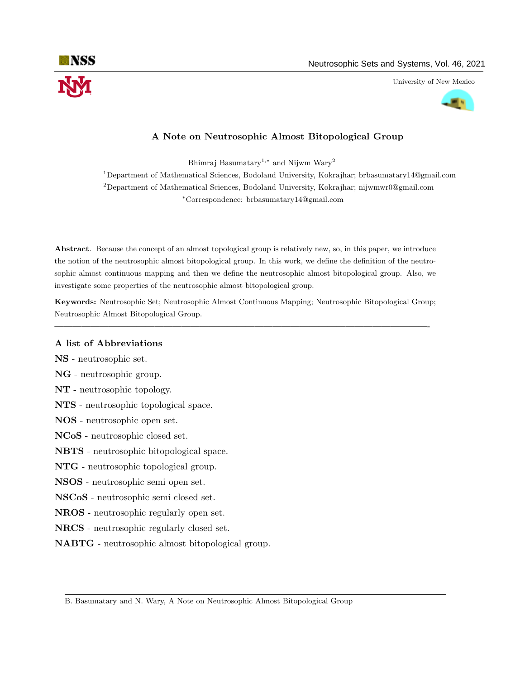

University of New Mexico



# A Note on Neutrosophic Almost Bitopological Group

Bhimraj Basumatary<sup>1,\*</sup> and Nijwm Wary<sup>2</sup>

<sup>1</sup>Department of Mathematical Sciences, Bodoland University, Kokrajhar; brbasumatary14@gmail.com <sup>2</sup>Department of Mathematical Sciences, Bodoland University, Kokrajhar; nijwmwr0@gmail.com <sup>∗</sup>Correspondence: brbasumatary14@gmail.com

Abstract. Because the concept of an almost topological group is relatively new, so, in this paper, we introduce the notion of the neutrosophic almost bitopological group. In this work, we define the definition of the neutrosophic almost continuous mapping and then we define the neutrosophic almost bitopological group. Also, we investigate some properties of the neutrosophic almost bitopological group.

Keywords: Neutrosophic Set; Neutrosophic Almost Continuous Mapping; Neutrosophic Bitopological Group; Neutrosophic Almost Bitopological Group.

—————————————————————————————————————————-

## A list of Abbreviations

NS - neutrosophic set.

- NG neutrosophic group.
- NT neutrosophic topology.
- NTS neutrosophic topological space.
- NOS neutrosophic open set.
- NCoS neutrosophic closed set.
- NBTS neutrosophic bitopological space.
- NTG neutrosophic topological group.
- NSOS neutrosophic semi open set.
- NSCoS neutrosophic semi closed set.
- NROS neutrosophic regularly open set.
- NRCS neutrosophic regularly closed set.
- NABTG neutrosophic almost bitopological group.

B. Basumatary and N. Wary, A Note on Neutrosophic Almost Bitopological Group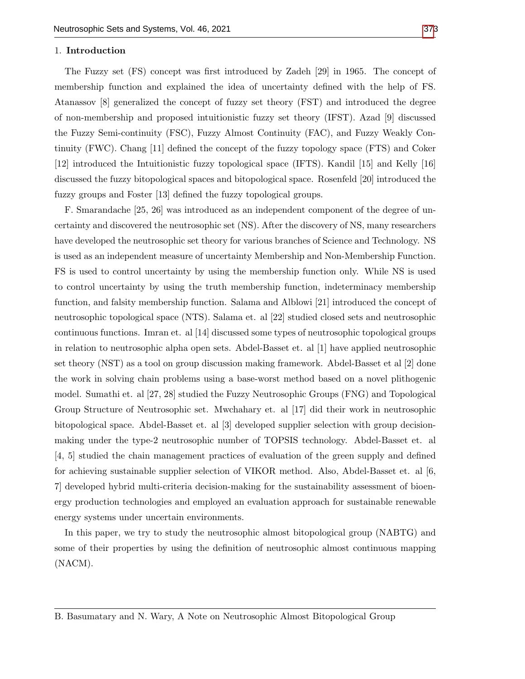#### 1. Introduction

The Fuzzy set (FS) concept was first introduced by Zadeh [29] in 1965. The concept of membership function and explained the idea of uncertainty defined with the help of FS. Atanassov [8] generalized the concept of fuzzy set theory (FST) and introduced the degree of non-membership and proposed intuitionistic fuzzy set theory (IFST). Azad [9] discussed the Fuzzy Semi-continuity (FSC), Fuzzy Almost Continuity (FAC), and Fuzzy Weakly Continuity (FWC). Chang [11] defined the concept of the fuzzy topology space (FTS) and Coker [12] introduced the Intuitionistic fuzzy topological space (IFTS). Kandil [15] and Kelly [16] discussed the fuzzy bitopological spaces and bitopological space. Rosenfeld [20] introduced the fuzzy groups and Foster [13] defined the fuzzy topological groups.

F. Smarandache [25, 26] was introduced as an independent component of the degree of uncertainty and discovered the neutrosophic set (NS). After the discovery of NS, many researchers have developed the neutrosophic set theory for various branches of Science and Technology. NS is used as an independent measure of uncertainty Membership and Non-Membership Function. FS is used to control uncertainty by using the membership function only. While NS is used to control uncertainty by using the truth membership function, indeterminacy membership function, and falsity membership function. Salama and Alblowi [21] introduced the concept of neutrosophic topological space (NTS). Salama et. al [22] studied closed sets and neutrosophic continuous functions. Imran et. al [14] discussed some types of neutrosophic topological groups in relation to neutrosophic alpha open sets. Abdel-Basset et. al [1] have applied neutrosophic set theory (NST) as a tool on group discussion making framework. Abdel-Basset et al [2] done the work in solving chain problems using a base-worst method based on a novel plithogenic model. Sumathi et. al [27, 28] studied the Fuzzy Neutrosophic Groups (FNG) and Topological Group Structure of Neutrosophic set. Mwchahary et. al [17] did their work in neutrosophic bitopological space. Abdel-Basset et. al [3] developed supplier selection with group decisionmaking under the type-2 neutrosophic number of TOPSIS technology. Abdel-Basset et. al [4, 5] studied the chain management practices of evaluation of the green supply and defined for achieving sustainable supplier selection of VIKOR method. Also, Abdel-Basset et. al [6, 7] developed hybrid multi-criteria decision-making for the sustainability assessment of bioenergy production technologies and employed an evaluation approach for sustainable renewable energy systems under uncertain environments.

In this paper, we try to study the neutrosophic almost bitopological group (NABTG) and some of their properties by using the definition of neutrosophic almost continuous mapping (NACM).

B. Basumatary and N. Wary, A Note on Neutrosophic Almost Bitopological Group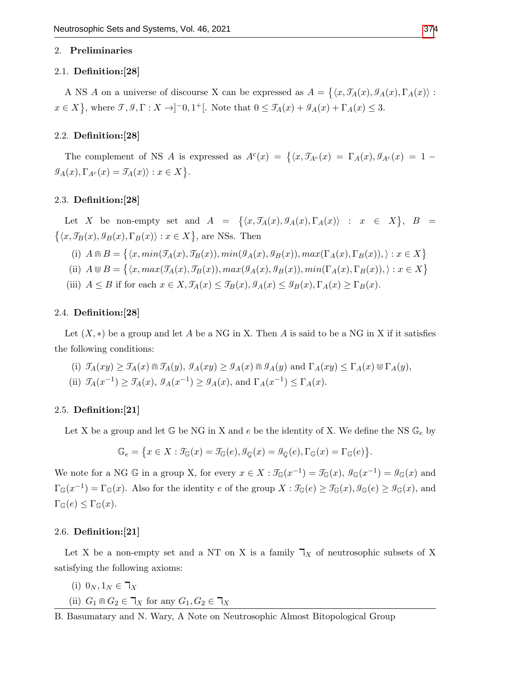#### 2. Preliminaries

#### 2.1. Definition:[28]

A NS A on a universe of discourse X can be expressed as  $A = \{ \langle x, \mathcal{I}_A(x), \mathcal{I}_A(x), \Gamma_A(x) \rangle :$  $x \in X$ , where  $\mathcal{T}, \mathcal{I}, \Gamma : X \to ]-0,1^+[$ . Note that  $0 \leq \mathcal{T}_A(x) + \mathcal{T}_A(x) + \Gamma_A(x) \leq 3$ .

## 2.2. Definition:[28]

The complement of NS A is expressed as  $A^{c}(x) = \{ \langle x, \mathcal{J}_{A^{c}}(x) = \Gamma_{A}(x), \mathcal{J}_{A^{c}}(x) = 1 - \Gamma_{A}(x), \mathcal{J}_{A^{c}}(x) = 1 - \Gamma_{A}(x) \}$  $\mathcal{G}_A(x), \Gamma_{A^c}(x) = \mathcal{J}_A(x) \rangle : x \in X$ .

## 2.3. Definition:[28]

Let X be non-empty set and  $A = \{ \langle x, \mathcal{T}_A(x), \mathcal{G}_A(x), \Gamma_A(x) \rangle : x \in X \}, B =$  $\{\langle x, \mathcal{T}_B(x), \mathcal{G}_B(x), \Gamma_B(x)\rangle : x \in X\}$ , are NSs. Then

(i) 
$$
A \cap B = \{ \langle x, min(\mathcal{T}_A(x), \mathcal{T}_B(x)), min(\mathcal{G}_A(x), \mathcal{G}_B(x)), max(\Gamma_A(x), \Gamma_B(x)), \rangle : x \in X \}
$$

- (ii)  $A \cup B = \{ \langle x, max(\mathcal{T}_A(x), \mathcal{T}_B(x)), max(\mathcal{G}_A(x), \mathcal{G}_B(x)), min(\Gamma_A(x), \Gamma_B(x)), \rangle : x \in X \}$
- (iii)  $A \leq B$  if for each  $x \in X$ ,  $\mathcal{J}_A(x) \leq \mathcal{J}_B(x)$ ,  $\mathcal{J}_A(x) \leq \mathcal{J}_B(x)$ ,  $\Gamma_A(x) \geq \Gamma_B(x)$ .

#### 2.4. Definition:[28]

Let  $(X, *)$  be a group and let A be a NG in X. Then A is said to be a NG in X if it satisfies the following conditions:

(i) 
$$
\mathcal{I}_A(xy) \ge \mathcal{I}_A(x) \cap \mathcal{I}_A(y)
$$
,  $\mathcal{I}_A(xy) \ge \mathcal{I}_A(x) \cap \mathcal{I}_A(y)$  and  $\Gamma_A(xy) \le \Gamma_A(x) \cup \Gamma_A(y)$ ,  
(ii)  $\mathcal{I}_A(x^{-1}) \ge \mathcal{I}_A(x)$ ,  $\mathcal{I}_A(x^{-1}) \ge \mathcal{I}_A(x)$ , and  $\Gamma_A(x^{-1}) \le \Gamma_A(x)$ .

## 2.5. Definition:[21]

Let X be a group and let  $\mathbb{G}$  be NG in X and e be the identity of X. We define the NS  $\mathbb{G}_e$  by

$$
\mathbb{G}_e = \big\{ x \in X: \mathcal{I}_{\mathbb{G}}(x) = \mathcal{I}_{\mathbb{G}}(e), \mathcal{I}_{\mathcal{G}}(x) = \mathcal{I}_{\mathcal{G}}(e), \Gamma_{\mathbb{G}}(x) = \Gamma_{\mathbb{G}}(e) \big\}.
$$

We note for a NG G in a group X, for every  $x \in X : \mathcal{T}_{\mathbb{G}}(x^{-1}) = \mathcal{T}_{\mathbb{G}}(x), \mathcal{G}_{\mathbb{G}}(x^{-1}) = \mathcal{G}_{\mathbb{G}}(x)$  and  $\Gamma_{\mathbb{G}}(x^{-1}) = \Gamma_{\mathbb{G}}(x)$ . Also for the identity e of the group  $X : \mathcal{F}_{\mathbb{G}}(e) \geq \mathcal{F}_{\mathbb{G}}(x)$ ,  $\mathcal{F}_{\mathbb{G}}(e) \geq \mathcal{G}_{\mathbb{G}}(x)$ , and  $\Gamma_{\mathbb{G}}(e) \leq \Gamma_{\mathbb{G}}(x).$ 

## 2.6. Definition:[21]

Let X be a non-empty set and a NT on X is a family  $\mathcal{T}_X$  of neutrosophic subsets of X satisfying the following axioms:

$$
(i) 0_N, 1_N \in \mathbb{k}_X
$$

(ii)  $G_1 \cap G_2 \in \mathcal{T}_X$  for any  $G_1, G_2 \in \mathcal{T}_X$ 

B. Basumatary and N. Wary, A Note on Neutrosophic Almost Bitopological Group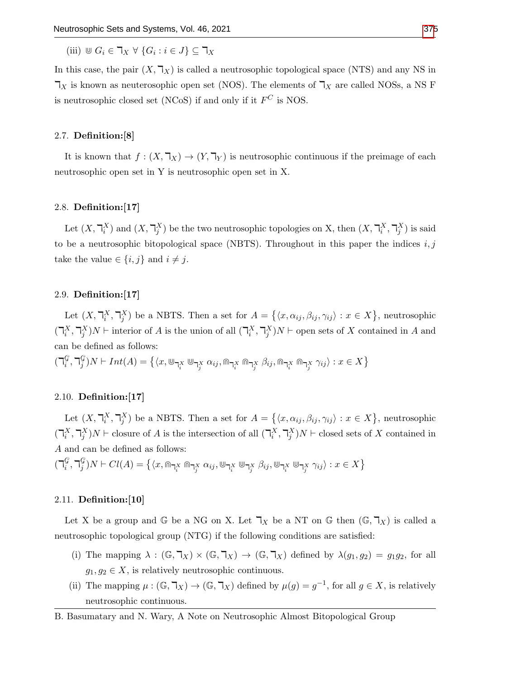(iii)  $\mathbb{U} G_i \in \mathbb{I}_X \ \forall \ \{G_i : i \in J\} \subseteq \mathbb{I}_X$ 

In this case, the pair  $(X, \mathbb{k})$  is called a neutrosophic topological space (NTS) and any NS in  $\mathcal{T}_X$  is known as neuterosophic open set (NOS). The elements of  $\mathcal{T}_X$  are called NOSs, a NS F is neutrosophic closed set (NCoS) if and only if it  $F^C$  is NOS.

## 2.7. Definition:[8]

It is known that  $f : (X, \mathbb{k}_X) \to (Y, \mathbb{k}_Y)$  is neutrosophic continuous if the preimage of each neutrosophic open set in Y is neutrosophic open set in X.

### 2.8. Definition:[17]

Let  $(X, \mathcal{T}_i^X)$  and  $(X, \mathcal{T}_j^X)$  be the two neutrosophic topologies on X, then  $(X, \mathcal{T}_i^X, \mathcal{T}_j^X)$  is said to be a neutrosophic bitopological space (NBTS). Throughout in this paper the indices  $i, j$ take the value  $\in \{i, j\}$  and  $i \neq j$ .

#### 2.9. Definition:[17]

Let  $(X, \mathbb{k}, \mathbb{k})$  be a NBTS. Then a set for  $A = \{ \langle x, \alpha_{ij}, \beta_{ij}, \gamma_{ij} \rangle : x \in X \}$ , neutrosophic  $(\mathcal{I}_{i}^{X}, \mathcal{I}_{j}^{X})N$  + interior of A is the union of all  $(\mathcal{I}_{i}^{X}, \mathcal{I}_{j}^{X})N$  + open sets of X contained in A and can be defined as follows:

 $(\daleth_i^\mathcal{G}$  $_{i}^{\mathcal{G}},\daleth_{j}^{\mathcal{G}}$  $\mathcal{G}_j^G(N\vdash Int(A)=\left\{\langle x,\Cup_{\daleth_{i}^{X}}\Cup_{\daleth_{j}^{X}}\alpha_{ij},\Cup_{\daleth_{i}^{X}}\Cup_{\exists_{j}^{X}}\beta_{ij},\Cup_{\daleth_{i}^{X}}\Cup_{\exists_{j}^{X}}\gamma_{ij}\rangle:x\in X\right\}$ 

## 2.10. Definition:[17]

Let  $(X, \mathbb{k}, \mathbb{k})$  be a NBTS. Then a set for  $A = \{ \langle x, \alpha_{ij}, \beta_{ij}, \gamma_{ij} \rangle : x \in X \}$ , neutrosophic  $(\mathbb{k}_i^X, \mathbb{k}_j^X)N \vdash \text{closure of } A \text{ is the intersection of all } (\mathbb{k}_i^X, \mathbb{k}_j^X)N \vdash \text{closed sets of } X \text{ contained in } \mathbb{k}$ A and can be defined as follows:

 $(\daleth_i^\mathcal{G}$  $_{i}^{\mathcal{G}},\daleth_{j}^{\mathcal{G}}$  $\mathcal{G}_j^G(N\vdash Cl(A)=\big\{\langle x,\Cap_{\daleth^X_i}\Cap_{\daleth^X_j}\alpha_{ij},\Cup_{\daleth^X_i}\Cup_{\daleth^X_j}\beta_{ij},\Cup_{\daleth^X_i}\Cup_{\daleth^X_j}\gamma_{ij}\rangle: x\in X\big\}$ 

## 2.11. Definition:[10]

Let X be a group and G be a NG on X. Let  $\mathcal{T}_X$  be a NT on G then  $(\mathbb{G}, \mathcal{T}_X)$  is called a neutrosophic topological group (NTG) if the following conditions are satisfied:

- (i) The mapping  $\lambda : (\mathbb{G}, \mathbb{T}_X) \times (\mathbb{G}, \mathbb{T}_X) \to (\mathbb{G}, \mathbb{T}_X)$  defined by  $\lambda(g_1, g_2) = g_1 g_2$ , for all  $g_1, g_2 \in X$ , is relatively neutrosophic continuous.
- (ii) The mapping  $\mu: (\mathbb{G}, \mathbb{I}_X) \to (\mathbb{G}, \mathbb{I}_X)$  defined by  $\mu(g) = g^{-1}$ , for all  $g \in X$ , is relatively neutrosophic continuous.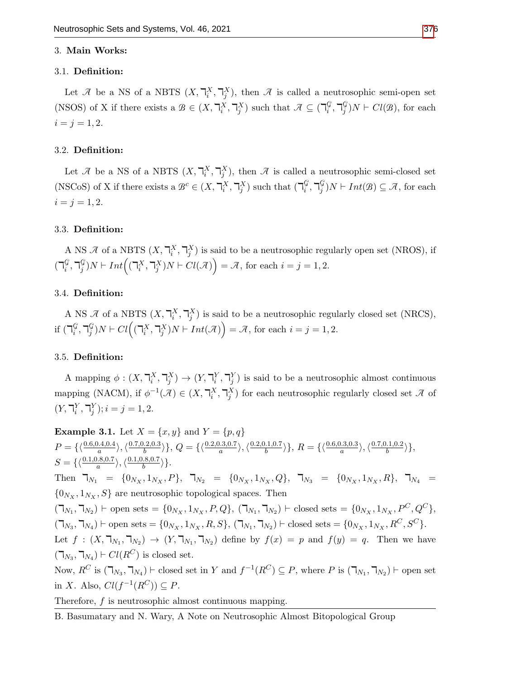#### 3. Main Works:

#### 3.1. Definition:

Let  $\mathcal{A}$  be a NS of a NBTS  $(X, \mathbb{T}_i^X, \mathbb{T}_j^X)$ , then  $\mathcal{A}$  is called a neutrosophic semi-open set (NSOS) of X if there exists a  $\mathcal{B} \in (X, \mathbb{R}^X_i, \mathbb{R}^X_j)$  such that  $\mathcal{A} \subseteq (\mathbb{R}^G_i)$  $_{i}^{\mathcal{G}},\daleth_{j}^{\mathcal{G}}$  $_j^{\mathcal{G}}$ ) $N \vdash Cl(\mathcal{B})$ , for each  $i = j = 1, 2.$ 

### 3.2. Definition:

Let  $\mathcal A$  be a NS of a NBTS  $(X, \mathbb T_i^X, \mathbb T_j^X)$ , then  $\mathcal A$  is called a neutrosophic semi-closed set (NSCoS) of X if there exists a  $\mathcal{B}^c \in (X, \mathbb{T}_i^X, \mathbb{T}_j^X)$  such that  $(\mathbb{T}_i^{\mathcal{G}})$  $_{i}^{\mathcal{G}},\daleth_{j}^{\mathcal{G}}$  $j^{\mathcal{G}}_j$ )  $N \vdash Int(\mathcal{B}) \subseteq \mathcal{A}$ , for each  $i = j = 1, 2.$ 

#### 3.3. Definition:

A NS  $\mathcal A$  of a NBTS  $(X, \mathbb T_i^X, \mathbb T_j^X)$  is said to be a neutrosophic regularly open set (NROS), if  $(\daleth_i^\mathcal{G}$  $_{i}^{\mathcal{G}},\daleth_{j}^{\mathcal{G}}$  $\mathcal{L}^{\mathcal{G}}_j$ )  $N \vdash Int((\mathsf{T}^X_i, \mathsf{T}^X_j)N \vdash Cl(\mathcal{A})) = \mathcal{A}$ , for each  $i = j = 1, 2$ .

#### 3.4. Definition:

A NS  $\mathcal A$  of a NBTS  $(X, \mathbb T_i^X, \mathbb T_j^X)$  is said to be a neutrosophic regularly closed set (NRCS), if  $(\mathbb{b}^{\mathbb{G}}_i)$  $_{i}^{\mathcal{G}},\daleth_{j}^{\mathcal{G}}$  $\mathcal{L}^{G}_{j}$ )  $N \vdash Cl((\mathbb{T}_{i}^{X}, \mathbb{T}_{j}^{X})N \vdash Int(\mathcal{A})) = \mathcal{A}$ , for each  $i = j = 1, 2$ .

#### 3.5. Definition:

A mapping  $\phi: (X, \mathbb{I}_i^X, \mathbb{I}_j^X) \to (Y, \mathbb{I}_i^Y, \mathbb{I}_j^Y)$  is said to be a neutrosophic almost continuous mapping (NACM), if  $\phi^{-1}(\mathcal{A}) \in (X, \mathbb{I}_{i}^{X}, \mathbb{I}_{j}^{X})$  for each neutrosophic regularly closed set  $\mathcal{A}$  of  $(Y, \mathbb{T}_i^Y, \mathbb{T}_j^Y); i = j = 1, 2.$ 

**Example 3.1.** Let  $X = \{x, y\}$  and  $Y = \{p, q\}$  $P = \{\langle \frac{0.6,0.4,0.4}{a} \rangle, \langle \frac{0.7,0.2,0.3}{b} \rangle\}$  $\{\frac{0.2,0.3}{b}\}\},\,Q=\{\langle \frac{0.2,0.3,0.7}{a}\rangle,\langle \frac{0.2,0.1,0.7}{b}\rangle\}$  $\{\frac{0.1,0.7}{b}\}\}, R = \{\langle \frac{0.6,0.3,0.3}{a}\rangle, \langle \frac{0.7,0.1,0.2}{b}\rangle\}$  $\left\langle \frac{b(1,0.2)}{b} \right\rangle$ ,  $S = \{\langle \frac{0.1,0.8,0.7}{a} \rangle, \langle \frac{0.1,0.8,0.7}{b} \rangle\}$  $\frac{b^{(8,0.7)}}{b}$ . Then  $\mathcal{T}_{N_1} = \{0_{N_X}, 1_{N_X}, P\}, \mathcal{T}_{N_2} = \{0_{N_X}, 1_{N_X}, Q\}, \mathcal{T}_{N_3} = \{0_{N_X}, 1_{N_X}, R\}, \mathcal{T}_{N_4} =$  ${0_{N_X}, 1_{N_X}, S}$  are neutrosophic topological spaces. Then  $(\mathcal{T}_{N_1}, \mathcal{T}_{N_2}) \vdash$  open sets = {0<sub>Nx</sub>, 1<sub>Nx</sub>, P, Q},  $(\mathcal{T}_{N_1}, \mathcal{T}_{N_2}) \vdash$  closed sets = {0<sub>Nx</sub>, 1<sub>Nx</sub>, P<sup>C</sup>, Q<sup>C</sup>},  $(\mathcal{T}_{N_3}, \mathcal{T}_{N_4}) \vdash$  open sets = {0<sub>N<sub>X</sub></sub>, 1<sub>N<sub>X</sub></sub>, R, S},  $(\mathcal{T}_{N_1}, \mathcal{T}_{N_2}) \vdash$  closed sets = {0<sub>N<sub>X</sub></sub>, 1<sub>N<sub>X</sub></sub>, R<sup>C</sup>, S<sup>C</sup>}. Let  $f: (X, \mathbb{Y}_{N_1}, \mathbb{Y}_{N_2}) \to (Y, \mathbb{Y}_{N_1}, \mathbb{Y}_{N_2})$  define by  $f(x) = p$  and  $f(y) = q$ . Then we have  $(\mathsf{T}_{N_3}, \mathsf{T}_{N_4}) \vdash \mathit{Cl}(R^C)$  is closed set. Now,  $R^C$  is  $(\mathcal{T}_{N_3}, \mathcal{T}_{N_4})$   $\vdash$  closed set in Y and  $f^{-1}(R^C) \subseteq P$ , where P is  $(\mathcal{T}_{N_1}, \mathcal{T}_{N_2})$   $\vdash$  open set in X. Also,  $Cl(f^{-1}(R^C)) \subseteq P$ .

Therefore, f is neutrosophic almost continuous mapping.

B. Basumatary and N. Wary, A Note on Neutrosophic Almost Bitopological Group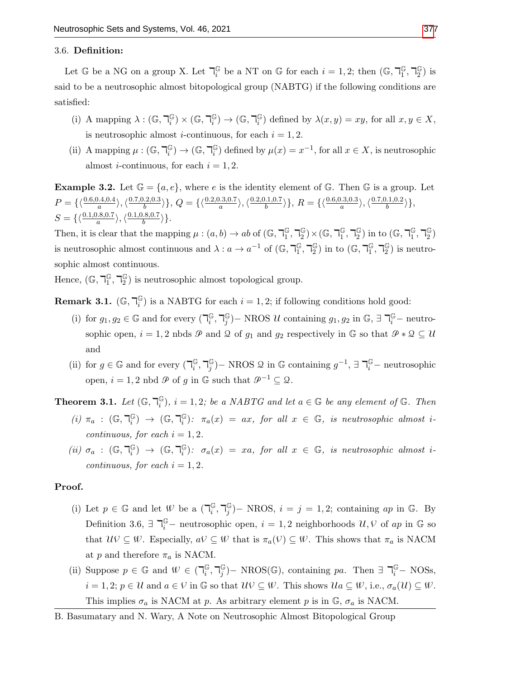## 3.6. Definition:

Let  $\mathbb{G}$  be a NG on a group X. Let  $\mathbb{I}_i^{\mathbb{G}}$  $\frac{\mathbb{G}}{i}$  be a NT on  $\mathbb{G}$  for each  $i = 1, 2$ ; then  $(\mathbb{G}, \mathbb{F}_1^{\mathbb{G}})$  $\mathbb{G}$ ,  $\mathbb{F}_2^{\mathbb{G}}$  $_{2}^{\mathbb{G}}$ ) is said to be a neutrosophic almost bitopological group (NABTG) if the following conditions are satisfied:

- (i) A mapping  $\lambda : (\mathbb{G}, \mathbb{k})^{\mathbb{G}}_i$  $_i^{\mathbb{G}}$ )  $\times$  (G,  $\mathbb{I}_i^{\mathbb{G}}$  $\binom{C}{i} \rightarrow (\mathbb{G},\mathbb{k})^C_i$  $\binom{\mathbb{G}}{i}$  defined by  $\lambda(x, y) = xy$ , for all  $x, y \in X$ , is neutrosophic almost *i*-continuous, for each  $i = 1, 2$ .
- (ii) A mapping  $\mu: (\mathbb{G}, \mathbb{k})^{\mathbb{G}}_i$  $\binom{\mathbb{G}}{i} \rightarrow (\mathbb{G},\daleth^{\mathbb{G}}_{i}$  $\binom{G}{i}$  defined by  $\mu(x) = x^{-1}$ , for all  $x \in X$ , is neutrosophic almost *i*-continuous, for each  $i = 1, 2$ .

**Example 3.2.** Let  $\mathbb{G} = \{a, e\}$ , where e is the identity element of  $\mathbb{G}$ . Then  $\mathbb{G}$  is a group. Let  $P = \{\langle \frac{0.6,0.4,0.4}{a} \rangle, \langle \frac{0.7,0.2,0.3}{b} \rangle\}$  $\{\frac{0.2,0.3}{b}\}\},\,Q=\{\langle \frac{0.2,0.3,0.7}{a}\rangle,\langle \frac{0.2,0.1,0.7}{b}\rangle\}$  $\{\frac{0.1,0.7}{b}\}\}, R = \{\langle \frac{0.6,0.3,0.3}{a}\rangle, \langle \frac{0.7,0.1,0.2}{b}\rangle\}$  $\frac{b(.1,0.2)}{b}\rangle\},$  $S = \{\langle \frac{0.1,0.8,0.7}{a} \rangle, \langle \frac{0.1,0.8,0.7}{b} \rangle\}$  $\frac{1.8,0.7}{b}\rangle$ .

Then, it is clear that the mapping  $\mu : (a, b) \to ab$  of  $(\mathbb{G}, \mathbb{F}_1^{\mathbb{G}})$  $\mathbb{G}$ ,  $\mathbb{U}^{\mathbb{G}}_2$  $_2^{\mathbb{G}}$ )  $\times$  (G,  $\mathbb{U}_1^{\mathbb{G}}$  $\mathbb{G}$ ,  $\mathbb{U}^{\mathbb{G}}_2$  $_2^{\mathbb{G}}$ ) in to  $(\mathbb{G},\mathbb{k}_1^{\mathbb{G}})$  $\mathbb{G}$ ,  $\mathbb{U}^{\mathbb{G}}_2$  $\binom{G}{2}$ is neutrosophic almost continuous and  $\lambda: a \to a^{-1}$  of  $(\mathbb{G}, \overline{\mathcal{A}}_1^{\mathbb{G}})$  $\mathbb{G}$ ,  $\mathbb{L}$ <sup> $\mathbb{G}$ </sup>  $_{2}^{\mathbb{G}}$ ) in to  $(\mathbb{G},\mathbb{T}_{1}^{\mathbb{G}})$  $\mathbb{G}$ ,  $\mathbb{F}_2^{\mathbb{G}}$  $_{2}^{\mathbb{G}}$ ) is neutrosophic almost continuous.

Hence,  $(\mathbb{G}, \mathbb{k})^{\mathbb{G}}$  $\mathbb{G}$ ,  $\mathbb{F}_2^{\mathbb{G}}$  $\binom{G}{2}$  is neutrosophic almost topological group.

Remark 3.1.  $(\mathbb{G},\mathbb{k})^{\mathbb{G}}_i$  $\binom{G}{i}$  is a NABTG for each  $i = 1, 2$ ; if following conditions hold good:

- (i) for  $g_1, g_2 \in \mathbb{G}$  and for every  $\left(\bigcap_i \mathbb{G} \right)$  $_i^\mathbb{G}, \mathbb{k}_j^\mathbb{G}$  $j^{\mathbb{G}}$ ) – NROS U containing  $g_1, g_2$  in  $\mathbb{G}, \exists \mathbb{R}$ <sup>G</sup> – neutrosophic open,  $i = 1, 2$  nbds  $\emptyset$  and  $\emptyset$  of  $g_1$  and  $g_2$  respectively in  $\mathbb{G}$  so that  $\emptyset * \emptyset \subseteq \mathcal{U}$ and
- (ii) for  $g \in \mathbb{G}$  and for every  $\left(\bigcap_{i=1}^{\mathbb{G}}\right)$  $_i^\mathbb{G}, \mathbb{k}_j^\mathbb{G}$  $j^{\mathbb{G}}$ ) – NROS  $\mathcal{Q}$  in  $\mathbb{G}$  containing  $g^{-1}$ ,  $\exists \mathcal{T}_{i}^{\mathbb{G}}$  – neutrosophic open,  $i = 1, 2$  nbd  $\emptyset$  of q in  $\mathbb{G}$  such that  $\mathcal{P}^{-1} \subset \mathcal{Q}$ .

Theorem 3.1. Let  $(\mathbb{G},\mathbb{F})^{\mathbb{G}}_i$  $\mathbb{G}(i)$ ,  $i = 1, 2$ ; be a NABTG and let  $a \in \mathbb{G}$  be any element of  $\mathbb{G}$ . Then

- (*i*)  $\pi_a$  :  $(\mathbb{G}, \mathbb{k})$  $\binom{\mathbb{G}}{i}$   $\rightarrow$   $(\mathbb{G}, \mathbb{k})$  $\mathbb{G}_i$ ):  $\pi_a(x) = ax$ , for all  $x \in \mathbb{G}$ , is neutrosophic almost icontinuous, for each  $i = 1, 2$ .
- (*ii*)  $\sigma_a$  :  $(\mathbb{G}, \mathbb{F}_i^{\mathbb{G}})$  $\binom{\mathbb{G}}{i}$   $\rightarrow$   $(\mathbb{G}, \mathbb{k})$  $\mathbb{G}_i$ ):  $\sigma_a(x) = xa$ , for all  $x \in \mathbb{G}$ , is neutrosophic almost icontinuous, for each  $i = 1, 2$ .

#### Proof.

- (i) Let  $p \in \mathbb{G}$  and let  $\mathcal{W}$  be a  $\left(\bigcap_i \mathbb{G}$  $_i^\mathbb{G}, \mathbb{k}_j^\mathbb{G}$  $j^{\mathbb{G}}$ )– NROS,  $i = j = 1, 2$ ; containing ap in G. By Definition 3.6,  $\exists \ \mathbb{R}^{\mathbb{G}}$  – neutrosophic open,  $i = 1, 2$  neighborhoods  $\mathcal{U}, \mathcal{V}$  of ap in  $\mathbb{G}$  so that  $\mathcal{U}\mathcal{V} \subseteq \mathcal{W}$ . Especially,  $a\mathcal{V} \subseteq \mathcal{W}$  that is  $\pi_a(\mathcal{V}) \subseteq \mathcal{W}$ . This shows that  $\pi_a$  is NACM at p and therefore  $\pi_a$  is NACM.
- (ii) Suppose  $p \in \mathbb{G}$  and  $\mathcal{W} \in (\mathbb{I}_i^{\mathbb{G}})$  $_i^\mathbb{G}, \mathbb{k}_j^\mathbb{G}$  $j^{\mathbb{G}}$ ) – NROS( $\mathbb{G}$ ), containing pa. Then  $\exists \; \mathbb{k}_i^{\mathbb{G}}$  – NOSs,  $i = 1, 2; p \in \mathcal{U}$  and  $a \in \mathcal{V}$  in G so that  $\mathcal{U}\mathcal{V} \subseteq \mathcal{W}$ . This shows  $\mathcal{U}a \subseteq \mathcal{W}$ , i.e.,  $\sigma_a(\mathcal{U}) \subseteq \mathcal{W}$ . This implies  $\sigma_a$  is NACM at p. As arbitrary element p is in  $\mathbb{G}$ ,  $\sigma_a$  is NACM.
- B. Basumatary and N. Wary, A Note on Neutrosophic Almost Bitopological Group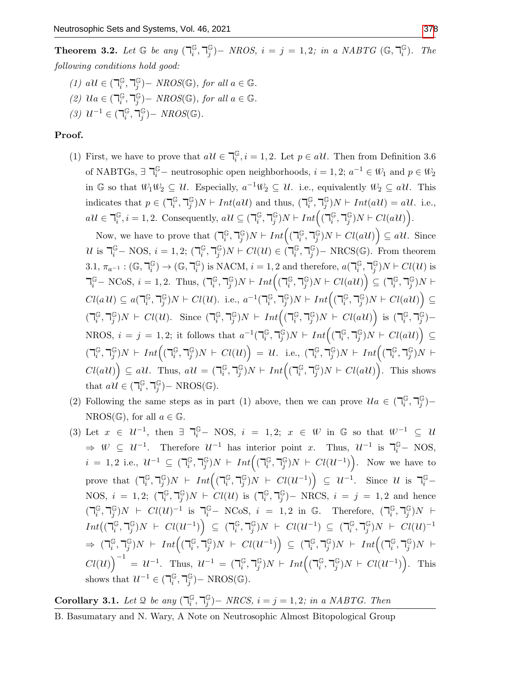- (1)  $a\mathcal{U} \in (\mathbb{R}^{\mathbb{G}}_i)$  $_i^\mathbb{G}, \mathbb{k}_j^\mathbb{G}$  $_j^{\mathbb{G}}$ ) – NROS( $\mathbb{G}$ ), for all  $a \in \mathbb{G}$ .
- (2)  $\mathcal{U}a \in (\mathbb{R}^{\mathbb{G}}_i)$  $_i^\mathbb{G}, \mathbb{k}_j^\mathbb{G}$  $_j^{\mathbb{G}}$ ) – NROS( $\mathbb{G}$ ), for all  $a \in \mathbb{G}$ .
- $(3)$   $\mathcal{U}^{-1}$  ∈  $(\mathbb{I}_i^{\mathbb{G}})$  $_i^\mathbb{G}, \mathbb{k}_j^\mathbb{G}$  $_j^{\mathbb{G}}$ ) –  $NROS(\mathbb{G})$ .

## Proof.

(1) First, we have to prove that  $a\mathcal{U} \in \mathbb{T}_i^{\mathbb{G}}$  $\mathbb{G}_i, i = 1, 2$ . Let  $p \in \mathfrak{al}$ . Then from Definition 3.6 of NABTGs,  $\exists \ \mathbb{R}^{\mathbb{G}}$  – neutrosophic open neighborhoods,  $i = 1, 2; a^{-1} \in \mathcal{W}_1$  and  $p \in \mathcal{W}_2$ in G so that  $\mathcal{W}_1 \mathcal{W}_2 \subseteq \mathcal{U}$ . Especially,  $a^{-1} \mathcal{W}_2 \subseteq \mathcal{U}$ . i.e., equivalently  $\mathcal{W}_2 \subseteq a\mathcal{U}$ . This indicates that  $p \in (\mathbb{R}^{\mathbb{G}}_i)$  $_i^\mathbb{G}, \mathbb{k}_j^\mathbb{G}$  $_j^{\mathbb{G}}$ ) $N \vdash Int(a\mathcal{U})$  and thus,  $(\mathbb{I}_i^{\mathbb{G}})$  $_i^\mathbb{G}, \mathbb{k}_j^\mathbb{G}$  $_{j}^{\mathbb{G}}$ )N  $\vdash Int(a\mathcal{U}) = a\mathcal{U}$ . i.e.,  $a\mathcal{U} \in \mathbb{k}^{\mathbb{G}}_i$  $\mathbb{G}_i, i = 1, 2$ . Consequently,  $a\mathcal{U} \subseteq \left(\mathbb{I}_i^{\mathbb{G}}\right)$  $_i^\mathbb{G}, \mathbb{k}_j^\mathbb{G}$  $_j^{\mathbb{G}})N \vdash Int\Bigl( (\mathbb{k}_i^{\mathbb{G}})$  $_i^\mathbb{G}, \mathbb{k}_j^\mathbb{G}$  $_j^{\mathbb{G}}$ ) $N \vdash Cl(a\mathcal{U})$ .

Now, we have to prove that  $\left(\bigcap_{i=1}^{k} A_i\right)$  $_i^\mathbb{G}, \mathbb{k}_j^\mathbb{G}$  $\int\limits_j^\mathbb{G} \text{)} N \vdash Int \Bigl( (\mathbb{h}^{\mathbb{G}}_i)$  $_i^\mathbb{G}, \mathbb{k}_j^\mathbb{G}$  $_j^{\mathbb{G}}$ ) $N \vdash Cl(a\mathcal{U})$   $\subseteq a\mathcal{U}$ . Since U is  $\mathbb{U}^{\mathbb{G}}$  – NOS,  $i = 1, 2;$  ( $\mathbb{U}^{\mathbb{G}}_i$  $_i^\mathbb{G}, \mathbb{k}_j^\mathbb{G}$  $j^{\mathbb{G}}$ ) $N \vdash Cl(\mathcal{U}) \in \dot{(\mathsf{T}}_i^{\mathbb{G}})$  $_i^\mathbb{G}, \mathbb{k}_j^\mathbb{G}$  $_j^{\mathbb{G}}$ ) – NRCS( $\mathbb{G}$ ). From theorem 3.1,  $\pi_{a^{-1}} : (\mathbb{G}, \mathbb{F}_i^{\mathbb{G}})$  $\binom{C}{i}$   $\rightarrow$  (C,  $\neg$ <sub> $i$ </sub>  $_i^{\mathbb{G}}$ ) is NACM,  $i = 1, 2$  and therefore,  $a(\mathbb{T}_i^{\mathbb{G}})$  $_i^\mathbb{G}, \mathbb{k}_j^\mathbb{G}$  $_{j}^{\mathbb{G}})N \vdash Cl(\mathcal{U})$  is  $\mathcal{T}_{i}^{\mathbb{G}}$  – NCoS,  $i = 1, 2$ . Thus,  $(\mathcal{T}_{i}^{\mathbb{G}})$  $_i^\mathbb{G}, \mathbb{k}_j^\mathbb{G}$  $_j^{\mathbb{G}})N \vdash Int\Bigl( (\mathbb{k}_i^{\mathbb{G}}% ,1) \subset \mathbb{C}^j \Bbbk _j^{\mathbb{G}} \Bbbk _j^{\mathbb{G}} \Bbbk _j^{\mathbb{G}} ) \Bbbk$  $_i^\mathbb{G}, \mathbb{k}_j^\mathbb{G}$  $\left(\begin{smallmatrix}\mathbb{G} \ j\end{smallmatrix}\right)N \vdash Cl(aU)\Big) \subseteq (\mathbb{k}_i^{\mathbb{G}})$  $_i^\mathbb{G}, \mathbb{k}_j^\mathbb{G}$  $_{j}^{\mathbb{G}})N\vdash$  $Cl(a\mathcal{U}) \subseteq a(\mathbb{F}_i^{\mathbb{G}})$  $_i^\mathbb{G}, \mathbb{k}_j^\mathbb{G}$  $_j^{\mathbb{G}}$ ) $N \vdash Cl(\mathcal{U})$ . i.e.,  $a^{-1}(\mathbb{I}_i^{\mathbb{G}})$  $_i^\mathbb{G}, \mathbb{k}_j^\mathbb{G}$  $\int\limits_j^\mathbb{G} \text{)} N \vdash Int \Bigl( (\mathbb{h}^{\mathbb{G}}_i)$  $_i^\mathbb{G}, \mathbb{k}_j^\mathbb{G}$  $_j^{\mathbb{G}}$ ) $N \vdash Cl(a\mathcal{U})$   $\subseteq$  $\overline{(\mathbb{d}^{\mathbb{G}}_i)}$  $_i^\mathbb{G}, \mathbb{k}_j^\mathbb{G}$  $_j^{\mathbb{G}}$ ) $N \vdash Cl(U)$ . Since  $(\mathbb{I}_i^{\mathbb{G}})$  $_i^\mathbb{G}, \mathbb{k}_j^\mathbb{G}$  $\int\limits_j^\mathbb{G} \text{)} N \ \vdash \ Int \Bigl( (\mathbb{h}^{\mathbb{G}}_i)$  $_i^\mathbb{G}, \mathbb{k}_j^\mathbb{G}$  $j^{\mathbb{G}}$ ) $N \;\vdash\; Cl(a\mathcal{U})$  is  $(\mathbb{k}_i^{\mathbb{G}})$  $_i^\mathbb{G}, \mathbb{k}_j^\mathbb{G}$  $_{j}^{\mathbb{G}})-$ NROS,  $i = j = 1, 2$ ; it follows that  $a^{-1}(\mathbb{I}_i^{\mathbb{G}})$  $_i^\mathbb{G}, \mathbb{k}_j^\mathbb{G}$  $\int\limits_j^\mathbb{G} \text{)} N \,\vdash\, Int\Big( (\mathbb{h}^{\mathbb{G}}_i)$  $_i^\mathbb{G}, \mathbb{k}_j^\mathbb{G}$  $_j^{\mathbb{G}}$ ) $N \vdash Cl(a\mathcal{U})$   $\subseteq$  $\overline{(\mathbb{d}^{\mathbb{G}}_i)}$  $_i^\mathbb{G}, \mathbb{k}_j^\mathbb{G}$  $\int\limits_j^\mathbb{G} \text{)} N \,\vdash\, Int\Big( (\mathbb{h}^{\mathbb{G}}_i)$  $_i^\mathbb{G}, \mathbb{k}_j^\mathbb{G}$  $\binom{\mathbb{G}}{j}N \;\vdash\; Cl(\mathcal{U})\Big) \;=\; \mathcal{U}. \;\;$  i.e.,  $\;\; \left(\mathbb{k}_i\right)^{\mathbb{G}}$  $_i^\mathbb{G}, \mathbb{k}_j^\mathbb{G}$  $\int\limits_j^\mathbb{G} \text{)} N \,\vdash\, Int\Big( (\mathbb{h}^{\mathbb{G}}_i)$  $_i^\mathbb{G}, \mathbb{k}_j^\mathbb{G}$  $_j^{\mathbb G})N \ \vdash$  $Cl(a\mathcal{U})\Big) \subseteq a\mathcal{U}$ . Thus,  $a\mathcal{U} = (\mathbb{I}_i^{\mathbb{G}})$  $_i^\mathbb{G}, \mathbb{k}_j^\mathbb{G}$  $\int\limits_j^\mathbb{G} \text{)} N \,\vdash\, Int\Big( (\mathbb{m}^{\mathbb{G}}_i)$  $_i^\mathbb{G}, \mathbb{k}_j^\mathbb{G}$  $_j^{\mathbb{G}}$ ) $N \vdash Cl(a\mathcal{U})$ . This shows that  $a\hat{\mathcal{U}} \in (\mathbb{k}_i^{\mathbb{G}})$  $_i^\mathbb{G}, \mathbb{k}_j^\mathbb{G}$  $_j^{\mathbb{G}}$ ) – NROS( $\mathbb{G}$ ).

- (2) Following the same steps as in part (1) above, then we can prove  $\mathcal{U}a \in (\mathbb{Z}_i^{\mathbb{G}})$  $_i^\mathbb{G}, \mathbb{k}_j^\mathbb{G}$  $_{j}^{\mathbb{G}}) NROS(\mathbb{G})$ , for all  $a \in \mathbb{G}$ .
- (3) Let  $x \in \mathcal{U}^{-1}$ , then  $\exists \exists \xi -\text{NOS}, i = 1, 2; x \in \mathcal{W}$  in G so that  $\mathcal{W}^{-1} \subseteq \mathcal{U}$  $\Rightarrow$   $\mathcal{W} \subseteq \mathcal{U}^{-1}$ . Therefore  $\mathcal{U}^{-1}$  has interior point x. Thus,  $\mathcal{U}^{-1}$  is  $\overline{\mathcal{U}}_{i}^{\mathbb{G}}$  NOS,  $i = 1, 2$  i.e.,  $\mathcal{U}^{-1} \subseteq (\mathbb{R}^{\mathbb{G}}_i)$  $_i^\mathbb{G}, \mathbb{k}_j^\mathbb{G}$  $\int\limits_j^\mathbb{G} \text{)} N \ \vdash \ Int \Bigl( (\mathbb{h}^{\mathbb{G}}_i)$  $_i^\mathbb{G}, \mathbb{k}_j^\mathbb{G}$  $_j^{\mathbb{G}}$ ) $N \vdash Cl(U^{-1})$ . Now we have to prove that  $\left(\mathbb{I}_i^{\mathbb{G}}\right)$  $_i^\mathbb{G}, \mathbb{k}_j^\mathbb{G}$  $\int\limits_j^\mathbb{G} jN$   $\vdash \; Int\Bigl((\mathbb{h}^{\mathbb{G}}_i)^{\mathbb{G}}$  $_i^\mathbb{G}, \mathbb{k}_j^\mathbb{G}$  $\left( \begin{array}{c} \mathbb{G} \ jN \end{array} \right) \vdash \; Cl(\mathcal{U}^{-1}) \Big) \; \subseteq \; \mathcal{U}^{-1}.$  Since  $\mathcal{U}$  is  $\mathbb{k} \mathbb{G}^{-1}$ NOS,  $i = 1, 2; (\mathbb{Z}_i^{\mathbb{G}})$  $_i^\mathbb{G}, \mathbb{k}_j^\mathbb{G}$  $j^{\mathbb{G}}$ ) $N \;\vdash\; Cl(\mathcal{U})$  is  $(\mathbb{I}_i^{\mathbb{G}})$  $_i^\mathbb{G}, \mathbb{k}_j^\mathbb{G}$  $j^{(j)}$  – NRCS,  $i = j = 1, 2$  and hence  $\overline{(\mathbb{I}_{i}^{\mathbb{G}})}$  $_i^\mathbb{G}, \mathbb{k}_j^\mathbb{G}$  $j^{\mathbb{G}}$ ) $N \vdash Cl(U)^{-1}$  is  $\mathbb{I}_{i}^{\mathbb{G}}$  NCoS,  $i = 1, 2$  in  $\mathbb{G}$ . Therefore,  $(\mathbb{I}_{i}^{\mathbb{G}})$  $_i^\mathbb{G}, \mathbb{k}_j^\mathbb{G}$  $_j^{\mathbb G})N$   $\vdash$  $Int((\mathbb{I}_{i}^{\mathbb{G}}}% (u_{i}))_{i})\cap H_{i}^{\mathbb{G}}(u_{i}))$  $_i^\mathbb{G}, \mathbb{k}_j^\mathbb{G}$  $\left(\begin{smallmatrix}\mathbb{G} \ j\end{smallmatrix}\right)N \;\vdash\; Cl(\mathcal{U}^{-1})\Big) \;\subseteq\; (\mathbb{k}_i^{\mathbb{G}})$  $_i^\mathbb{G}, \mathbb{k}_j^\mathbb{G}$  $_j^{\mathbb{G}}$ ) $N \vdash \ Cl(\mathcal{U}^{-1}) \subseteq (\mathbb{I}_i^{\mathbb{G}})$  $_i^\mathbb{G}, \mathbb{k}_j^\mathbb{G}$  $_j^{\mathbb{G}}$ ) $N \;\vdash\; Cl(\mathcal{U})^{-1}$  $\Rightarrow$   $( \mathsf{T}^\mathbb{G}_i )$  $_i^\mathbb{G}, \mathbb{k}_j^\mathbb{G}$  $\int\limits_j^{\mathbb{G}})N$   $\vdash$   $Int\left( (\mathbb{d}_i^{\mathbb{G}})$  $_i^\mathbb{G}, \mathbb{k}_j^\mathbb{G}$  $\left(\begin{smallmatrix}\mathbb{G} \ j\end{smallmatrix}\right)N \;\vdash\; Cl(\mathcal{U}^{-1})\Big) \;\subseteq\; (\mathbb{k}_i^{\mathbb{G}})$  $_i^\mathbb{G}, \mathbb{k}_j^\mathbb{G}$  $\int\limits_j^{\mathbb{G}})N$   $\vdash$   $Int\left( (\mathbb{d}^{\mathbb{G}}_i)$  $_i^\mathbb{G}, \mathbb{k}_j^\mathbb{G}$  $_j^\mathbb{G})N$   $\vdash$  $Cl(U)\big)^{-1} = U^{-1}$ . Thus,  $U^{-1} = (\mathbb{I}_i^{\mathbb{G}})$  $_i^\mathbb{G}, \mathbb{k}_j^\mathbb{G}$  $\int\limits_j^\mathbb{G} \text{)} N \, \vdash \, Int \Big( (\mathbb{m}^{\mathbb{G}}_i)$  $_i^\mathbb{G}, \mathbb{k}_j^\mathbb{G}$  $_j^{\mathbb{G}}$ ) $N \vdash Cl(U^{-1})$ . This shows that  $\mathcal{U}^{-1} \in (\mathbb{I}_i^{\mathbb{G}})$  $_i^\mathbb{G}, \mathbb{k}_j^\mathbb{G}$  $_j^{\mathbb{G}}$ ) – NROS( $\mathbb{G}$ ).

#### Corollary 3.1. Let 2 be any  $\left(\bigcap_i \mathbb{G} \right)$  $_i^\mathbb{G}, \mathbb{k}_j^\mathbb{G}$  $j^{(j)}$ )− NRCS,  $i = j = 1,2$ ; in a NABTG. Then

B. Basumatary and N. Wary, A Note on Neutrosophic Almost Bitopological Group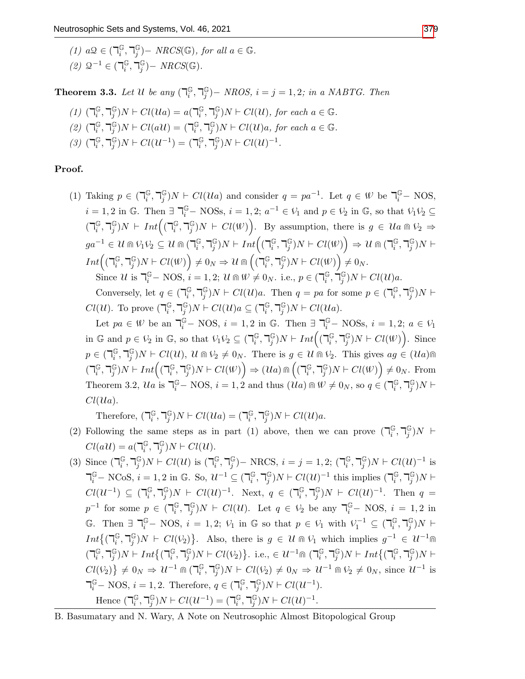(1) 
$$
a\mathcal{Q} \in (\mathbb{T}_i^{\mathbb{G}}, \mathbb{T}_j^{\mathbb{G}}) - NRCS(\mathbb{G}), \text{ for all } a \in \mathbb{G}.
$$
  
(2)  $\mathcal{Q}^{-1} \in (\mathbb{T}_i^{\mathbb{G}}, \mathbb{T}_j^{\mathbb{G}}) - NRCS(\mathbb{G}).$ 

**Theorem 3.3.** Let U be any  $\left(\bigcap_{i=1}^{N} A_i\right)$  $_i^\mathbb{G}, \mathbb{k}_j^\mathbb{G}$  $j^{(j)}$   $-$  NROS,  $i = j = 1,2$ ; in a NABTG. Then

$$
(1) \ \left(\mathbb{T}_i^{\mathbb{G}}, \mathbb{T}_j^{\mathbb{G}}\right)N \vdash Cl( \mathcal{U}a) = a(\mathbb{T}_i^{\mathbb{G}}, \mathbb{T}_j^{\mathbb{G}})N \vdash Cl(\mathcal{U}), \text{ for each } a \in \mathbb{G}.
$$

- $(2)$   $(7)$ <sup>G</sup>  $_i^\mathbb{G}, \mathbb{k}_j^\mathbb{G}$  $_j^{\mathbb{G}}$ ) $N \vdash Cl(a\mathcal{U}) = (\mathbb{I}_i^{\mathbb{G}})$  $_i^\mathbb{G}, \mathbb{k}_j^\mathbb{G}$  $_j^{\mathbb{G}}$ ) $N \vdash Cl(U)a$ , for each  $a \in \mathbb{G}$ .
- $(3)$   $(7)$ <sup>G</sup>  $_i^\mathbb{G}, \mathbb{k}_j^\mathbb{G}$  $j^{\mathbb{G}}$ ) $N \vdash Cl(\mathcal{U}^{-1}) = (\mathbb{I}_i^{\mathbb{G}})$  $_i^\mathbb{G}, \mathbb{k}_j^\mathbb{G}$  $_{j}^{\mathbb{G}}$ ) $N \vdash Cl(\mathcal{U})^{-1}$ .

Proof.

(1) Taking  $p \in (\mathbb{R}^{\mathbb{G}})$  $_i^\mathbb{G}, \mathbb{k}_j^\mathbb{G}$  $j^{\mathbb{G}}(N) \cap C\mathcal{U}(U_a)$  and consider  $q = pa^{-1}$ . Let  $q \in \mathcal{W}$  be  $\mathbb{T}_i^{\mathbb{G}}$  NOS,  $i = 1, 2$  in G. Then  $\exists \bigcap_{i=1}^{G} NOSs, i = 1, 2; a^{-1} \in V_1$  and  $p \in V_2$  in G, so that  $V_1V_2 \subseteq$  $\overline{(\mathcal{a}_i^{\mathbb{G}})}$  $_i^\mathbb{G}, \mathbb{k}_j^\mathbb{G}$  $\int\limits_j^\mathbb{G} \text{)} N \, \vdash \, Int \Big( (\mathbb{m}^{\mathbb{G}}_i)$  $_i^\mathbb{G}, \mathbb{k}_j^\mathbb{G}$  $j^{\mathbb{G}}(N) \vdash Cl(\mathcal{W})$ . By assumption, there is  $g \in \mathcal{U}$ *a*  $\mathbb{R} \mathcal{V}_2 \Rightarrow$  $ga^{-1} \in \mathcal{U} \Cap \mathcal{V}_1 \mathcal{V}_2 \subseteq \mathcal{U} \Cap (\mathbb{F}_i^\mathbb{G})$  $_i^\mathbb{G}, \mathbb{k}_j^\mathbb{G}$  $_j^{\mathbb{G}})N \vdash Int\Bigl( (\mathsf{T}_i^{\mathbb{G}}% )^{j+1}(\mathsf{T}_i^{\mathbb{G}}% )^{j+1}(\mathsf{T}_i^{\mathbb{G}}% )^{j+1}(\mathsf{T}_i^{\mathbb{G}}% )^{j+1}(\mathsf{T}_i^{\mathbb{G}}% )^{j+1}(\mathsf{T}_i^{\mathbb{G}}% )^{j+1}(\mathsf{T}_i^{\mathbb{G}}% )^{j+1}(\mathsf{T}_i^{\mathbb{G}}% )^{j+1}(\mathsf{T}_i^{\mathbb{G}}% )^{j+1}(\mathsf{T}_i^{\mathbb{G}}% )^{j+1}(\math$  $_i^\mathbb{G}, \mathbb{k}_j^\mathbb{G}$  $\left(\begin{smallmatrix}\mathbb{G}^{\vee}\\j\end{smallmatrix}\right)N\vdash Cl(\mathbb{W})\Big)\Rightarrow\mathcal{U}\Cap\left(\mathsf{T}^{\mathbb{G}}_{i}\right)$  $_i^\mathbb{G}, \mathbb{k}_j^\mathbb{G}$  $_j^{\mathbb G})N \vdash$  $Int\left(\left({\mathbb{F}}_{i}^{\mathbb{G}}\right)$  $_i^\mathbb{G}, \mathbb{k}_j^\mathbb{G}$  $\left(\bigcirc_j^{\mathbb{G}}\right)N\vdash Cl(\mathbb{W})\Big)\neq 0_N\Rightarrow \mathcal{U}\Cap\Big((\mathbb{k}_i^{\mathbb{G}})$  $_i^\mathbb{G}, \mathbb{k}_j^\mathbb{G}$  $_j^{\mathbb{G}}$ ) $N \vdash Cl(\mathcal{W})$   $\neq 0_N$ .

Since U is  $\mathbb{R}^{\mathbb{G}}$  – NOS,  $i = 1, 2;$  U  $\mathbb{R} \times \neq 0_N$ . i.e.,  $p \in (\mathbb{R}^{\mathbb{G}}_i)$  $_i^{\mathbb{G}},\,\overleftarrow{\mathbb{1}}_j^{\mathbb{G}}$  $_{j}^{\mathbb{G}}$ )N  $\vdash$  Cl(U)a.

Conversely, let  $q \in (\mathbb{R}^{\mathbb{G}}_i)$  $_i^\mathbb{G}, \mathbb{k}_j^\mathbb{G}$  $_j^{\mathbb{G}}$ ) $N \vdash Cl(\mathcal{U})$ a. Then  $q = pa$  for some  $p \in (\mathbb{Z}_i^{\mathbb{G}})$  $_i^\mathbb{G}, \mathbb{k}_j^\mathbb{G}$  $_{j}^{\mathbb{G}})N\vdash$  $Cl(U)$ . To prove  $\left(\mathbb{R}^{\mathbb{G}}_{i}\right)$  $_i^\mathbb{G}, \mathbb{k}_j^\mathbb{G}$  $_j^{\mathbb{G}}$ ) $N \vdash Cl(U)a \subseteq (\mathbb{R}_i^{\mathbb{G}})$  $_i^\mathbb{G}, \mathbb{k}_j^\mathbb{G}$  $_{j}^{\mathbb{G}}$ )N  $\vdash$  Cl(Ua).

Let  $pa \in \mathcal{W}$  be an  $\mathbb{T}_i^{\mathbb{G}}$  – NOS,  $i = 1, 2$  in  $\mathbb{G}$ . Then  $\exists \mathbb{T}_i^{\mathbb{G}}$  – NOSs,  $i = 1, 2; a \in \mathcal{V}_1$ in  $\mathbb{G}$  and  $p \in V_2$  in  $\mathbb{G}$ , so that  $V_1 V_2 \subseteq (\mathbb{F}_i^{\mathbb{G}})$  $_i^\mathbb{G}, \mathbb{k}_j^\mathbb{G}$  $_j^{\mathbb{G}})N \vdash Int\Bigl( (\mathbb{k}_i^{\mathbb{G}}% ,1)$  $_i^\mathbb{G}, \mathbb{k}_j^\mathbb{G}$  $_j^{\mathbb{G}}$ ) $N \vdash Cl(\mathcal{W})$ . Since  $p \in (\mathbb{R}^{\mathbb{G}}_i)$  $_i^\mathbb{G}, \mathbb{k}_j^\mathbb{G}$  $_{j}^{\mathbb{G}}$ ) $N \vdash Cl(U),$   $\mathcal{U} \cap V_2 \neq 0_N$ . There is  $g \in \mathcal{U} \cap V_2$ . This gives  $ag \in (\mathcal{U}a) \cap$  $\overline{(\mathcal{a}_i^{\mathbb{G}})}$  $_i^\mathbb{G}, \mathbb{k}_j^\mathbb{G}$  $_j^{\mathbb{G}})N \vdash Int\Bigl( (\mathbb{k}_i^{\mathbb{G}}% ,1) \subset \mathbb{C}^j \Bbbk _j^{\mathbb{G}} \Bbbk _j^{\mathbb{G}} \Bbbk _j^{\mathbb{G}} ) \Bbbk$  $_i^\mathbb{G}, \mathbb{k}_j^\mathbb{G}$  $\left(\bigcap\limits_{j=1}^{\mathbb{G}}N\models Cl(\mathcal{W})\right)\Rightarrow (\mathcal{U}a)\Cap\Big(\big(\mathbb{k}_{i}^{\mathbb{G}}% \bigcap\limits_{j=1}^{\mathbb{G}}N_{j}^{j})\Big)$  $_i^\mathbb{G}, \mathbb{k}_j^\mathbb{G}$  $_j^{\mathbb{G}}$ )  $N \vdash Cl(\mathcal{W})$   $\neq 0_N$ . From Theorem 3.2,  $\mathcal{U}a$  is  $\mathbb{T}_{i}^{\mathbb{G}}$  – NOS,  $i = 1, 2$  and thus  $(\mathcal{U}a) \cap \mathcal{W} \neq 0_N$ , so  $q \in (\mathbb{T}_{i}^{\mathbb{G}})$  $_i^\mathbb{G}, \mathbb{k}_j^\mathbb{G}$  $_{j}^{\mathbb{G}})N\vdash$  $Cl(Ua)$ .

Therefore,  $\left(\overline{\mathbf{a}}_i\right)$  $_i^\mathbb{G}, \mathbb{k}_j^\mathbb{G}$  $_j^{\mathbb{G}}$ ) $N \vdash Cl(Ua) = (\mathbb{R}^{\mathbb{G}}_i)$  $_i^\mathbb{G}, \mathbb{k}_j^\mathbb{G}$  $_{j}^{\mathbb{G}}$ )N  $\vdash$  Cl(U)a.

- (2) Following the same steps as in part (1) above, then we can prove  $\left(\bigcap_{i=1}^{C} S_i\right)$  $_i^\mathbb{G}, \mathbb{k}_j^\mathbb{G}$  $_j^\mathbb{G})N$   $\vdash$  $Cl(a\mathcal{U})=a\left(\begin{matrix}\overline{\mathbb{G}}\\i\end{matrix}\right)$  $_i^\mathbb{G}, \mathbb{k}_j^\mathbb{G}$  $_{j}^{\mathbb{G}}$ )  $N \vdash Cl(\mathcal{U})$ .
- (3) Since  $\left(\mathbb{I}_i^{\mathbb{G}}\right)$  $_i^\mathbb{G}, \mathbb{k}_j^\mathbb{G}$  $_j^{\mathbb{G}}$ ) $N \vdash Cl(\mathcal{U})$  is  $(\mathbb{I}_i^{\mathbb{G}})$  $_i^\mathbb{G}, \mathbb{k}_j^\mathbb{G}$  $j^{\mathbb{G}}$ ) – NRCS,  $i = j = 1, 2; (\mathbb{I}_i^{\mathbb{G}})$  $_i^\mathbb{G}, \mathbb{k}_j^\mathbb{G}$  $_j^{\mathbb{G}}$ ) $N \vdash Cl(\mathcal{U})^{-1}$  is  $\mathbb{T}_i^{\mathbb{G}}$  – NCoS,  $i = 1, 2$  in  $\mathbb{G}$ . So,  $\mathcal{U}^{-1} \subseteq (\mathbb{T}_i^{\mathbb{G}})$  $_i^\mathbb{G}, \mathbb{k}_j^\mathbb{G}$  $_j^{\mathbb{G}}$ ) $N \vdash Cl(\mathcal{U})^{-1}$  this implies  $(\mathbb{I}_i^{\mathbb{G}})$  $_i^\mathbb{G}, \mathbb{k}_j^\mathbb{G}$  $_{j}^{\mathbb{G}})N\vdash$  $Cl(\mathcal{U}^{-1}) \subseteq (\mathbb{I}_i^{\mathbb{G}})$  $_i^\mathbb{G}, \mathbb{k}_j^\mathbb{G}$  $_j^{\mathbb{G}}$ ) $N \vdash Cl(\mathcal{U})^{-1}$ . Next,  $q \in (\mathbb{R}_i^{\mathbb{G}})$  $_i^\mathbb{G}, \mathbb{k}_j^\mathbb{G}$  $_j^{\mathbb{G}}$ ) $N \vdash Cl(\mathcal{U})^{-1}$ . Then  $q =$  $p^{-1}$  for some  $p \in (\mathbb{I}_i^{\mathbb{G}})$  $_i^\mathbb{G}, \mathbb{k}_j^\mathbb{G}$  $_j^{\mathbb{G}}$ ) $N \vdash Cl(U)$ . Let  $q \in V_2$  be any  $\mathbb{Q}_i^{\mathbb{G}}$  – NOS,  $i = 1, 2$  in G. Then  $\exists \ \mathbb{I}_i^{\mathbb{G}}$  – NOS,  $i = 1, 2; \ V_1$  in G so that  $p \in V_1$  with  $V_1^{-1} \subseteq (\mathbb{I}_i^{\mathbb{G}})$  $_i^\mathbb{G}, \mathbb{k}_j^\mathbb{G}$  $_j^{\mathbb{G}})N \;\vdash$  $Int\{(\mathbb{I}_i^\mathbb{G})$  $_i^\mathbb{G}, \mathbb{k}_j^\mathbb{G}$  $\{G_j\}$ ) $N \vdash Cl(V_2)$ . Also, there is  $g \in U \cap V_1$  which implies  $g^{-1} \in U^{-1} \cap V_1$  $\overline{(\mathcal{a}_i^{\mathbb{G}})}$  $_i^\mathbb{G}, \mathbb{k}_j^\mathbb{G}$  $j^{\mathbb{G}}$ ) $N \vdash Int \big\{ (\mathbb{I}_i^{\mathbb{G}})$  $_i^\mathbb{G}, \mathbb{k}_j^\mathbb{G}$  $j^{\mathbb{G}}$ ) $N \vdash Cl(V_2)$ . i.e.,  $\in \mathcal{U}^{-1}$ m ( $\mathbb{R}^{\mathbb{G}}_i$  $_i^\mathbb{G}, \mathbb{k}_j^\mathbb{G}$  $j^{\mathbb{G}}$ ) $N \vdash Int\{(\mathbb{U}_i^{\mathbb{G}})$  $_i^\mathbb{G}, \mathbb{k}_j^\mathbb{G}$  $_{j}^{\mathbb{G}})N\vdash$  $Cl(V_2) \} \neq 0_N \Rightarrow U^{-1} \cap (\mathbb{I}_i^{\mathbb{G}})$  $_i^\mathbb{G}, \mathbb{k}_j^\mathbb{G}$  $j^{\mathbb{G}}(N) \vdash Cl(V_2) \neq 0_N \Rightarrow U^{-1} \cap V_2 \neq 0_N$ , since  $U^{-1}$  is  $\mathbb{k}^{\mathbb{G}}$  – NOS,  $i = 1, 2$ . Therefore,  $q \in (\mathbb{k}^{\mathbb{G}}_i)$  $_i^\mathbb{G}, \mathbb{k}_j^\mathbb{G}$  $_{j}^{\mathbb{G}}$ ) $N \vdash Cl(\mathcal{U}^{-1})$ . Hence  $\left(\mathbb{I}_i^{\mathbb{G}}\right)$  $_i^\mathbb{G}, \mathbb{k}_j^\mathbb{G}$  $j^{\mathbb{G}}$ ) $N \vdash Cl(\mathcal{U}^{-1}) = (\mathbb{I}_i^{\mathbb{G}})$  $_i^\mathbb{G}, \mathbb{k}_j^\mathbb{G}$  $_{j}^{\mathbb{G}}$ ) $N \vdash Cl(\mathcal{U})^{-1}$ .

B. Basumatary and N. Wary, A Note on Neutrosophic Almost Bitopological Group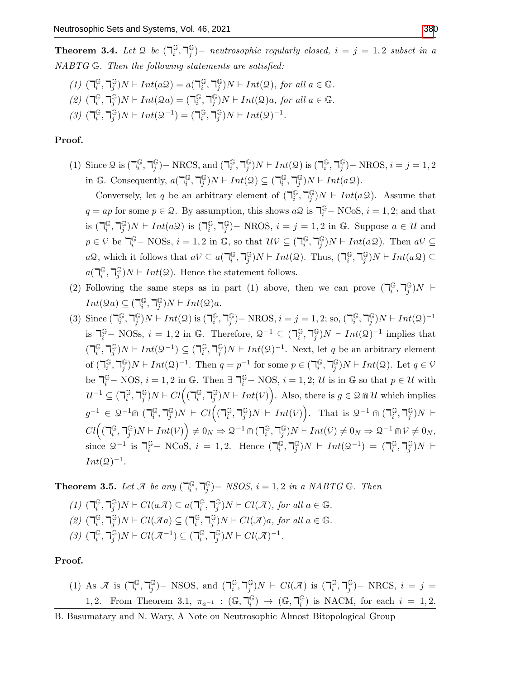**Theorem 3.4.** Let  $\mathcal{Q}$  be  $\left(\bigcap_{i=1}^{d} V_i\right)$  $_i^\mathbb{G}, \mathbb{k}_j^\mathbb{G}$  $j^{\mathbb{G}}$ ) $-$  neutrosophic regularly closed,  $i=j=1,2$  subset in a NABTG G. Then the following statements are satisfied:

- $(1)$   $($  $\mathsf{T}_{i}^{\mathbb{G}}$  $_i^\mathbb{G}, \mathbb{k}_j^\mathbb{G}$  $j^{\mathbb{G}}$ )  $N \vdash Int(a \mathcal{Q}) = a(\mathbb{U}_i^{\mathbb{G}})$  $_i^\mathbb{G}, \mathbb{k}_j^\mathbb{G}$  $_j^{\mathbb{G}}$ ) $N \vdash Int(\mathcal{Q})$ , for all  $a \in \mathbb{G}$ .
- $(2)$   $(7_i^{\mathbb{G}})$  $_i^\mathbb{G}, \mathbb{k}_j^\mathbb{G}$  $j^{\mathbb{G}}$ ) $N \vdash Int(\mathcal{Q}a) = (\mathbb{R}^{\mathbb{G}}_i)$  $_i^\mathbb{G}, \mathbb{k}_j^\mathbb{G}$  $_j^{\mathbb{G}}$ ) $N \vdash Int(\mathcal{Q})a$ , for all  $a \in \mathbb{G}$ .
- $(3)$   $(7_i^{\mathbb{G}})$  $_i^\mathbb{G}, \mathbb{k}_j^\mathbb{G}$  $j^{(S)}$ ) $N \vdash Int(2^{-1}) = (\mathbb{a}_i^{(S)})$  $_i^\mathbb{G}, \mathbb{k}_j^\mathbb{G}$  $_{j}^{\mathbb{G}}$ ) $N \vdash Int(2)^{-1}$ .

## Proof.

(1) Since  $\mathcal{Q}$  is  $\left(\mathbb{I}_{i}^{\mathbb{G}}\right)$  $_i^\mathbb{G}, \mathbb{k}_j^\mathbb{G}$  $_{j}^{\mathbb{G}}$ ) – NRCS, and ( $\mathbb{U}_{i}^{\mathbb{G}}$  $_i^\mathbb{G}, \mathbb{k}_j^\mathbb{G}$  $j^{\mathbb{G}}$ ) $N \vdash Int(\mathcal{Q})$  is  $(\mathbb{R}^{\mathbb{G}}_i)$  $_i^\mathbb{G}, \mathbb{k}_j^\mathbb{G}$  $j^{\mathbb{G}}$ ) – NROS,  $i = j = 1, 2$ in G. Consequently,  $a(\mathbb{F}_i^{\mathbb{G}})$  $_i^\mathbb{G}, \mathbb{k}_j^\mathbb{G}$  $_j^{\mathbb{G}}$ ) $N \vdash Int( \mathcal{Q} ) \subseteq (\mathbb{Z}_i^{\mathbb{G}})$  $_i^\mathbb{G}, \mathbb{k}_j^\mathbb{G}$  $_{j}^{\mathbb{G}}$ ) $N \vdash Int(a\mathcal{Q})$ .

Conversely, let q be an arbitrary element of  $\left(\bigcap_{i=1}^{G} G_i\right)$  $_i^\mathbb{G}, \mathbb{k}_j^\mathbb{G}$  $_j^{\mathbb{G}}$ )*N*  $\vdash Int(aQ)$ . Assume that  $q = ap$  for some  $p \in \mathcal{Q}$ . By assumption, this shows  $a\mathcal{Q}$  is  $\mathbb{T}_i^{\mathbb{G}}$  – NCoS,  $i = 1, 2$ ; and that is  $\left(\mathbb{I}_i^\mathbb{G}\right)$  $_i^\mathbb{G}, \mathbb{k}_j^\mathbb{G}$  $j^{\mathbb{G}}$ ) $N \vdash Int(a\mathcal{Q})$  is  $(\mathbb{I}_i^{\mathbb{G}})$  $_i^\mathbb{G}, \mathbb{k}_j^\mathbb{G}$  $_{j}^{\mathbb{G}}$ ) – NROS,  $i = j = 1, 2$  in G. Suppose  $a \in \mathcal{U}$  and  $p \in V$  be  $\mathbb{R}^{\mathbb{G}}$  – NOSs,  $i = 1, 2$  in  $\mathbb{G}$ , so that  $\mathcal{U}V \subseteq (\mathbb{R}^{\mathbb{G}}_i)$  $_i^\mathbb{G}, \mathbb{k}_j^\mathbb{G}$  $_j^{\mathbb{G}}$ ) $N \vdash Int(a \mathcal{Q})$ . Then  $a \mathcal{V} \subseteq$  $a\mathcal{Q}$ , which it follows that  $a\mathcal{V} \subseteq a(\mathbb{T}_i^{\mathbb{G}})$  $_i^\mathbb{G}, \mathbb{k}_j^\mathbb{G}$  $_j^{\mathbb{G}}$ ) $N \vdash Int(\mathcal{Q})$ . Thus,  $(\mathbb{I}_i^{\mathbb{G}})$  $_i^\mathbb{G}, \mathbb{k}_j^\mathbb{G}$  $_{j}^{\mathbb{G}}$ )N  $\vdash Int(a \mathcal{Q}) \subseteq$  $a(\mathbb{F}_i^\mathbb{G})$  $_i^\mathbb{G}, \mathbb{k}_j^\mathbb{G}$  $j^{(j)}$ ) $N \vdash Int(2)$ . Hence the statement follows.

- (2) Following the same steps as in part (1) above, then we can prove  $\left(\bigcap_{i=1}^{C} S_i\right)$  $_i^\mathbb{G}, \mathbb{k}_j^\mathbb{G}$  $_j^\mathbb{G})N$   $\vdash$  $Int(2a) \subseteq (\mathbb{F}_i^{\mathbb{G}})$  $_i^\mathbb{G}, \mathbb{k}_j^\mathbb{G}$  $j^{\mathbb{G}}$ ) $N \vdash Int( \mathcal{Q} )a.$
- (3) Since  $\left(\mathbb{I}_i^{\mathbb{G}}\right)$  $_i^\mathbb{G}, \mathbb{k}_j^\mathbb{G}$  $j^{\mathbb{G}}$ ) $N \vdash Int(\mathcal{Q})$  is  $(\mathbb{R}^{\mathbb{G}}_i)$  $_i^\mathbb{G}, \mathbb{k}_j^\mathbb{G}$  $_j^{\mathbb{G}}$ ) – NROS,  $i = j = 1, 2$ ; so,  $(\mathbb{I}_i^{\mathbb{G}})$  $_i^\mathbb{G}, \mathbb{k}_j^\mathbb{G}$  $_{j}^{\mathbb{G}})N \vdash Int(\mathfrak{Q})^{-1}$ is  $\mathbb{g}^{\mathbb{G}}$  – NOSs,  $i = 1, 2$  in  $\mathbb{G}$ . Therefore,  $\mathcal{Q}^{-1} \subseteq (\mathbb{g}^{\mathbb{G}}_i)$  $_i^\mathbb{G}, \mathbb{k}_j^\mathbb{G}$  $_j^{\mathbb{G}}$ ) $N \vdash Int(2)^{-1}$  implies that  $\overline{(\mathcal{a}_i^{\mathbb{G}})}$  $_i^\mathbb{G}, \mathbb{k}_j^\mathbb{G}$  $j^{(S)}$ ) $N \vdash Int(2^{-1}) \subseteq (\mathbb{Z}_i^{\mathbb{G}})$  $_i^\mathbb{G}, \mathbb{k}_j^\mathbb{G}$  $_j^{\mathbb{G}}$ ) $N \vdash Int(\mathcal{Q})^{-1}$ . Next, let q be an arbitrary element of  $(\mathbb{I}_i^{\mathbb{G}})$  $_i^\mathbb{G}, \mathbb{k}_j^\mathbb{G}$  $_j^{\mathbb{G}}$ ) $N \vdash Int(\mathcal{Q})^{-1}$ . Then  $q = p^{-1}$  for some  $p \in (\mathbb{Z}_i^{\mathbb{G}})$  $_i^\mathbb{G}, \mathbb{k}_j^\mathbb{G}$  $_j^{\mathbb{G}}$ ) $N \vdash Int(2)$ . Let  $q \in V$ be  $\mathbb{R}^{\mathbb{G}}$  – NOS,  $i = 1, 2$  in  $\mathbb{G}$ . Then  $\exists \mathbb{R}^{\mathbb{G}}$  – NOS,  $i = 1, 2; U$  is in  $\mathbb{G}$  so that  $p \in U$  with  $\mathcal{U}^{-1} \subseteq (\mathbb{I}_i^{\mathbb{G}})$  $_i^\mathbb{G}, \mathbb{k}_j^\mathbb{G}$  $_j^{\mathbb{G}})N \vdash Cl\Big( (\mathbb{k}_i^{\mathbb{G}}% )^{1/p} \Big)$  $_i^\mathbb{G}, \mathbb{k}_j^\mathbb{G}$  $j(\mathcal{G}_j)N \vdash Int(V)$ . Also, there is  $g \in \mathcal{Q} \cap \mathcal{U}$  which implies  $g^{-1} \in \mathcal{Q}^{-1}$ m ( $\mathbb{k}_i^{\mathbb{G}}$  $_i^\mathbb{G}, \mathbb{k}_j^\mathbb{G}$  $_j^{\mathbb{G}})N \;\mathrel{\vdash}\; Cl\Big((\mathsf{T}_i^{\mathbb{G}}% )^{j+1}C\Big((\mathsf{T}_i^{\mathbb{G}}% )^{j+1}C\Big)(\mathsf{T}_i^{\mathbb{G}}% )^{j+1}C\simeq \mathsf{T}_i^{\mathbb{G}}C\Big((\mathsf{T}_i^{\mathbb{G}}% )^{j+1}C\Big)(\mathsf{T}_i^{\mathbb{G}}% )^{j+1}C\simeq \mathsf{T}_i^{\mathbb{G}}C\Big((\mathsf{T}_i^{\mathbb{G}}% )^{j+1}C\simeq \mathsf{T}_i^{\mathbb{G}}C\Big((\math$  $_i^\mathbb{G}, \mathbb{k}_j^\mathbb{G}$  $\binom{\mathbb{G}}{j}N \vdash Int(V)$ . That is  $\mathcal{Q}^{-1} \cap \binom{\mathbb{G}}{i}$  $_i^\mathbb{G}, \mathbb{k}_j^\mathbb{G}$  $_j^{\mathbb G})N \ \vdash$  $Cl\bigl( (\mathbb{F}_{i}^{\mathbb{G}}% ,\mathbb{F}_{i}^{\mathbb{G}}% ,\mathbb{F}_{i}^{\mathbb{G}}% ,\mathbb{F}_{i}^{\mathbb{G}}% ,\mathbb{F}_{i}^{\mathbb{G}}% ,\mathbb{F}_{i}^{\mathbb{G}}% ,\mathbb{F}_{i}^{\mathbb{G}}% ,\mathbb{F}_{i}^{\mathbb{G}}% ,\mathbb{F}_{i}^{\mathbb{G}}% ,\mathbb{F}_{i}^{\mathbb{G}}% ,\mathbb{F}_{i}^{\mathbb{G}}% ,\mathbb{F}_{i}^{\mathbb{G}}% ,\mathbb{F}_{i}^{\math$  $_i^\mathbb{G}, \mathbb{k}_j^\mathbb{G}$  $\binom{\mathbb{G}}{j}N \vdash Int(V)$   $\bigg) \neq 0_N \Rightarrow \mathcal{Q}^{-1} \cap \left( \mathbb{k}_i^{\mathbb{G}} \right)$  $_i^\mathbb{G}, \mathbb{k}_j^\mathbb{G}$  $_j^{\mathbb{G}}$ ) $N \vdash Int(V) \neq 0_N \Rightarrow 2^{-1} \, \text{in} \, V \neq 0_N$ , since  $\mathcal{Q}^{-1}$  is  $\mathbb{R}^{\mathbb{G}}$  – NCoS,  $i = 1, 2$ . Hence  $(\mathbb{R}^{\mathbb{G}}_i)$  $_i^\mathbb{G}, \mathbb{k}_j^\mathbb{G}$  $j^{(S)}$ ) $N \vdash Int(2^{-1}) = (\mathbb{I}_i^{(S)})$  $_i^\mathbb{G}, \mathbb{k}_j^\mathbb{G}$  $_j^{\mathbb G})N \ \vdash$  $Int(\mathcal{Q})^{-1}.$

**Theorem 3.5.** Let  $\mathcal{A}$  be any  $\left(\bigcap_{i=1}^{G} A_i\right)$  $_i^\mathbb{G}, \mathbb{k}_j^\mathbb{G}$  $_j^{\mathbb{G}}$ ) – NSOS,  $i = 1, 2$  in a NABTG G. Then

(1) 
$$
(\mathbb{I}_{i}^{\mathbb{G}}, \mathbb{I}_{j}^{\mathbb{G}})N \vdash Cl(a\mathcal{A}) \subseteq a(\mathbb{I}_{i}^{\mathbb{G}}, \mathbb{I}_{j}^{\mathbb{G}})N \vdash Cl(\mathcal{A}),
$$
 for all  $a \in \mathbb{G}$ .  
\n(2)  $(\mathbb{I}_{i}^{\mathbb{G}}, \mathbb{I}_{j}^{\mathbb{G}})N \vdash Cl(\mathcal{A}a) \subseteq (\mathbb{I}_{i}^{\mathbb{G}}, \mathbb{I}_{j}^{\mathbb{G}})N \vdash Cl(\mathcal{A})a$ , for all  $a \in \mathbb{G}$ .  
\n(3)  $(\mathbb{I}_{i}^{\mathbb{G}}, \mathbb{I}_{j}^{\mathbb{G}})N \vdash Cl(\mathcal{A}^{-1}) \subseteq (\mathbb{I}_{i}^{\mathbb{G}}, \mathbb{I}_{j}^{\mathbb{G}})N \vdash Cl(\mathcal{A})^{-1}$ .

## Proof.

(1) As  $\mathcal{A}$  is  $\left(\mathbb{I}_{i}^{\mathbb{G}}\right)$  $_i^\mathbb{G}, \mathbb{k}_j^\mathbb{G}$  $_{j}^{\mathbb{G}}$ )– NSOS, and ( $\mathbb{U}_{i}^{\mathbb{G}}$  $_i^\mathbb{G}, \mathbb{k}_j^\mathbb{G}$  $_j^{\mathbb{G}}$ ) $N \vdash Cl(\mathcal{A})$  is  $(\mathbb{I}_i^{\mathbb{G}})$  $_i^\mathbb{G}, \mathbb{k}_j^\mathbb{G}$  $_{j}^{\mathbb{G}}$ )– NRCS,  $i = j =$ 1, 2. From Theorem 3.1,  $\pi_{a^{-1}}$  :  $(\mathbb{G}, \mathbb{F}_i^{\mathbb{G}})$  $\binom{\mathbb{G}}{i} \rightarrow (\mathbb{G},\mathbb{k})^{\mathbb{G}}_{i}$  $\binom{\mathbb{G}}{i}$  is NACM, for each  $i = 1, 2$ .

B. Basumatary and N. Wary, A Note on Neutrosophic Almost Bitopological Group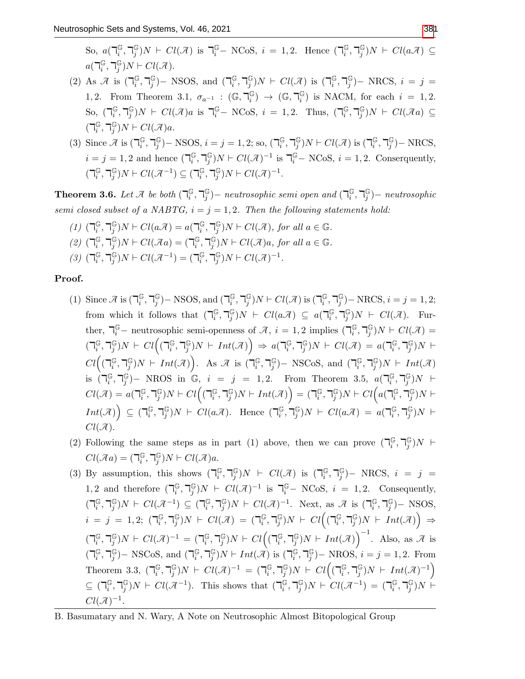- (2) As  $\mathcal{A}$  is  $\left(\mathbb{I}_{i}^{\mathbb{G}}\right)$  $_i^\mathbb{G}, \mathbb{k}_j^\mathbb{G}$  $_{j}^{\mathbb{G}}$ )– NSOS, and ( $\mathbb{I}_{i}^{\mathbb{G}}$  $_i^\mathbb{G}, \mathbb{k}_j^\mathbb{G}$  $_j^{\mathbb{G}}$ ) $N \vdash Cl(\mathcal{A})$  is  $(\mathbb{I}_i^{\mathbb{G}})$  $_i^\mathbb{G}, \mathbb{k}_j^\mathbb{G}$  $_{j}^{\mathbb{G}}$ )– NRCS,  $i = j =$ 1, 2. From Theorem 3.1,  $\sigma_{a^{-1}}$  :  $(\mathbb{G}, \mathbb{F}_i^{\mathbb{G}})$  $\binom{\mathbb{G}}{i} \rightarrow (\mathbb{G},\mathbb{k})^{\mathbb{G}}_{i}$  $\binom{\mathbb{G}}{i}$  is NACM, for each  $i = 1, 2$ . So,  $\left(\mathbb{I}_i^\mathbb{G}\right)$  $_i^\mathbb{G}, \mathbb{k}_j^\mathbb{G}$  $j^{\mathbb{G}}$ ) $N \vdash Cl(\mathcal{A})$ a is  $\mathbb{I}_{i}^{\mathbb{G}}$  – NCoS,  $i = 1, 2$ . Thus,  $(\mathbb{I}_{i}^{\mathbb{G}})$  $_i^\mathbb{G}, \mathbb{k}_j^\mathbb{G}$  $_{j}^{\mathbb{G}}$ )N +  $Cl(\mathcal{A}a) \subseteq$  $\overline{(\mathcal{a}_i^{\mathbb{G}})}$  $_i^\mathbb{G}, \mathbb{k}_j^\mathbb{G}$  $j^{\mathbb{G}}$ ) $N \vdash Cl(\mathcal{A})a$ .
- (3) Since  $\mathcal{A}$  is  $\left(\mathbb{I}_{i}^{\mathbb{G}}\right)$  $_i^\mathbb{G}, \mathbb{k}_j^\mathbb{G}$  $_j^{\mathbb{G}}$ ) – NSOS,  $i = j = 1, 2$ ; so,  $\left(\bigcap_{i=1}^{j} \mathbb{G} \right)$  $_i^\mathbb{G}, \mathbb{k}_j^\mathbb{G}$  $_j^{\mathbb{G}}$ ) $N \vdash Cl(\mathcal{A})$  is  $(\mathbb{I}_i^{\mathbb{G}})$  $_i^\mathbb{G}, \mathbb{k}_j^\mathbb{G}$ j )− NRCS,  $i = j = 1, 2$  and hence  $(\mathbb{I}_i^{\mathbb{G}})$  $_i^\mathbb{G}, \mathbb{k}_j^\mathbb{G}$  $j^{\mathbb{G}}$ ) $N \vdash Cl(\mathcal{A})^{-1}$  is  $\mathbb{I}_{i}^{\mathbb{G}}$  – NCoS,  $i = 1, 2$ . Conserquently,  $\overline{(\mathcal{a}_i^{\mathbb{G}})}$  $_i^\mathbb{G}, \mathbb{k}_j^\mathbb{G}$  $_j^{\mathbb{G}}$ ) $N \vdash Cl(\mathcal{A}^{-1}) \subseteq (\mathbb{I}_i^{\mathbb{G}})$  $_i^\mathbb{G}, \mathbb{k}_j^\mathbb{G}$  $_j^{\mathbb{G}}$ ) $N \vdash Cl(\mathcal{A})^{-1}$ .

**Theorem 3.6.** Let  $\mathcal{A}$  be both  $\left(\bigcap_{i=1}^{d} X_i\right)$  $_i^\mathbb{G}, \mathbb{k}_j^\mathbb{G}$  $\mathbb{G}_{j}^{(j)}$ ) – neutrosophic semi open and  $(\mathbb{k}_{i}^{\mathbb{G}_{j}})$  $_i^\mathbb{G}, \mathbb{k}_j^\mathbb{G}$  $_{j}^{\mathbb{G}}$ ) – neutrosophic semi closed subset of a NABTG,  $i = j = 1, 2$ . Then the following statements hold:

 $(1)$   $($  $\mathsf{T}_{i}^{\mathbb{G}}$  $_i^\mathbb{G}, \mathbb{k}_j^\mathbb{G}$  $j^{\mathbb{G}}$ )  $N \vdash Cl(a\mathcal{A}) = a(\mathbb{a})$  $_i^\mathbb{G}, \mathbb{k}_j^\mathbb{G}$  $_j^{\mathbb{G}}$ ) $N \vdash Cl(\mathcal{A}),$  for all  $a \in \mathbb{G}.$  $(2)$   $(7)$ <sup>G</sup>  $_i^\mathbb{G}, \mathbb{k}_j^\mathbb{G}$  $_j^{\mathbb{G}}$ )  $N \vdash Cl(\mathcal{A}a) = (\mathbb{I}_i^{\mathbb{G}})$  $_i^\mathbb{G}, \mathbb{k}_j^\mathbb{G}$  $_j^{\mathbb{G}}$ ) $N \vdash Cl(\mathcal{A})a$ , for all  $a \in \mathbb{G}$ .  $(3)$   $(7_i^{\mathbb{G}})$  $_i^\mathbb{G}, \mathbb{k}_j^\mathbb{G}$  $_j^{\mathbb{G}}$ )  $N \vdash Cl(\mathcal{A}^{-1}) = (\mathbb{I}_i^{\mathbb{G}})$  $_i^\mathbb{G}, \mathbb{k}_j^\mathbb{G}$  $_j^{\mathbb{G}}$ ) $N \vdash Cl(\mathcal{A})^{-1}$ .

## Proof.

- (1) Since  $\mathcal{A}$  is  $\left(\bigcap_i \mathbb{G}\right)$  $_i^\mathbb{G}, \mathbb{k}_j^\mathbb{G}$  $_{j}^{\mathbb{G}}$ ) – NSOS, and ( $\mathbb{U}_{i}^{\mathbb{G}}$  $_i^\mathbb{G}, \mathbb{k}_j^\mathbb{G}$  $_j^{\mathbb{G}}$ ) $N \vdash Cl(\overline{\mathcal{A}})$  is  $(\mathbb{R} \setminus i)$  $_i^\mathbb{G}, \mathbb{k}_j^\mathbb{G}$  $_{j}^{\mathbb{G}}$ ) – NRCS,  $i = j = 1, 2;$ from which it follows that  $(\mathbb{I}_i^{\mathbb{G}})$  $_i^\mathbb{G}, \mathbb{k}_j^\mathbb{G}$  $j^{\mathbb{G}}$ ) $N \vdash \mathit{Cl}(a\mathcal{A}) \subseteq a(\mathbb{U}_i^{\mathbb{G}})$  $_i^\mathbb{G}, \mathbb{k}_j^\mathbb{G}$  $j^{\mathbb{G}}$ ) $N \vdash \mathit{Cl}(\mathcal{A})$ . Further,  $\overline{\mathcal{A}}_i^{\mathbb{G}}$  – neutrosophic semi-openness of  $\mathcal{A}, i = 1, 2$  implies  $(\overline{\mathcal{A}}_i^{\mathbb{G}})$  $_i^\mathbb{G}, \mathbb{k}_j^\mathbb{G}$  $_{j}^{\mathbb{G}})N \vdash Cl(\mathcal{A})=% {\textstyle\bigoplus\nolimits_{j}} e_{j}\left( \frac{1}{\mathbb{I}}\right) ^{j}$  $\overline{(\mathbb{d}^{\mathbb{G}}_i)}$  $_i^\mathbb{G}, \mathbb{k}_j^\mathbb{G}$  $_j^{\mathbb{G}})N \;\mathrel{\vdash}\; Cl\Big((\mathsf{T}_i^{\mathbb{G}}% )^{j+1}C\Big((\mathsf{T}_i^{\mathbb{G}}% )^{j+1}C\Big)(\mathsf{T}_i^{\mathbb{G}}% )^{j+1}C\simeq \mathsf{T}_i^{\mathbb{G}}C\Big((\mathsf{T}_i^{\mathbb{G}}% )^{j+1}C\Big)(\mathsf{T}_i^{\mathbb{G}}% )^{j+1}C\simeq \mathsf{T}_i^{\mathbb{G}}C\Big((\mathsf{T}_i^{\mathbb{G}}% )^{j+1}C\simeq \mathsf{T}_i^{\mathbb{G}}C\Big((\math$  $_i^\mathbb{G}, \mathbb{k}_j^\mathbb{G}$  $j^{\mathbb{G}}$ ) $N \vdash Int(\mathcal{A})$   $\Rightarrow a(\mathbb{k}_i^{\mathbb{G}})$  $_i^\mathbb{G}, \mathbb{k}_j^\mathbb{G}$  $j^{\mathbb{G}}$ ) $N \vdash Cl(\mathcal{A}) = a(\mathbb{I}_i^{\mathbb{G}})$  $_i^\mathbb{G}, \mathbb{k}_j^\mathbb{G}$  $_j^{\mathbb G})N \ \vdash$  $Cl\bigl( (\mathbb{F}_{i}^{\mathbb{G}}% ,\mathbb{F}_{i}^{\mathbb{G}}% ,\mathbb{F}_{i}^{\mathbb{G}}% ,\mathbb{F}_{i}^{\mathbb{G}}% ,\mathbb{F}_{i}^{\mathbb{G}}% ,\mathbb{F}_{i}^{\mathbb{G}}% ,\mathbb{F}_{i}^{\mathbb{G}}% ,\mathbb{F}_{i}^{\mathbb{G}}% ,\mathbb{F}_{i}^{\mathbb{G}}% ,\mathbb{F}_{i}^{\mathbb{G}}% ,\mathbb{F}_{i}^{\mathbb{G}}% ,\mathbb{F}_{i}^{\mathbb{G}}% ,\mathbb{F}_{i}^{\math$  $_i^\mathbb{G}, \mathbb{k}_j^\mathbb{G}$  $j^{\mathbb{G}}(N) \vdash Int(\mathcal{A})$ . As  $\mathcal{A}$  is  $(\mathbb{R}^{\mathbb{G}}_{i})$  $_i^\mathbb{G}, \mathbb{k}_j^\mathbb{G}$  $_{j}^{\mathbb{G}}$ ) – NSCoS, and ( $\mathbb{U}_{i}^{\mathbb{G}}$  $_i^\mathbb{G}, \mathbb{k}_j^\mathbb{G}$  $_j^\mathbb G) N \;\vdash\; Int(\mathcal A)$ is  $\hat{C}$  $_i^\mathbb{G}, \mathbb{k}_j^\mathbb{G}$  $j^{\mathbb{G}}$ ) – NROS in  $\mathbb{G}, i = j = 1, 2$ . From Theorem 3.5,  $a(\mathbb{a}_i^{\mathbb{G}})$  $_i^\mathbb{G}, \mathbb{k}_j^\mathbb{G}$  $_j^\mathbb{G})N$   $\vdash$  $Cl(\mathcal{A}) = a(\mathbb{k}_i^{\mathbb{G}})$  $_i^\mathbb{G}, \mathbb{k}_j^\mathbb{G}$  $_j^\mathbb{G})N \vdash Cl\Big( (\mathbb{k}_i^\mathbb{G})$  $_i^\mathbb{G}, \mathbb{k}_j^\mathbb{G}$  $\left(\begin{smallmatrix}\mathbb{G} \ j\end{smallmatrix}\right)N \vdash Int(\mathcal{A})\Big) = (\mathbb{k}_i^{\mathbb{G}})$  $_i^\mathbb{G}, \mathbb{k}_j^\mathbb{G}$  $_j^{\mathbb{G}})N \vdash Cl\Big(a(\mathbb{k}^{\mathbb{G}}_i)$  $_i^\mathbb{G}, \mathbb{k}_j^\mathbb{G}$  $_{j}^{\mathbb{G}})N\vdash$  $Int(\mathcal{A})\Big) \subseteq (\mathbb{R}^{\mathbb{G}}_{i})$  $_i^\mathbb{G}, \mathbb{k}_j^\mathbb{G}$  $_j^{\mathbb{G}}$ ) $N \vdash Cl(a\mathcal{A})$ . Hence  $(\mathbb{R}_i^{\mathbb{G}})$  $_i^\mathbb{G}, \mathbb{k}_j^\mathbb{G}$  $j^{\mathbb{G}}$ ) $N \vdash Cl(a\mathcal{A}) = a(\mathbb{I}_i^{\mathbb{G}})$  $_i^\mathbb{G}, \mathbb{k}_j^\mathbb{G}$  $_j^\mathbb{G})N \ \vdash$  $Cl(\mathcal{A}).$
- (2) Following the same steps as in part (1) above, then we can prove  $\left(\bigcap_{i=1}^{G} S_i\right)$  $_i^\mathbb{G}, \mathbb{k}_j^\mathbb{G}$  $_j^\mathbb{G})N$   $\vdash$  $Cl(\mathcal{A}a) = (\mathbb{a}_i^{\mathbb{G}})$  $_i^\mathbb{G}, \mathbb{k}_j^\mathbb{G}$  $j^{\mathbb{G}}$ ) $N \vdash Cl(\mathcal{A})a$ .
- (3) By assumption, this shows  $\left(\mathbb{R} \right)$  $_i^\mathbb{G}, \mathbb{k}_j^\mathbb{G}$  $_j^{\mathbb{G}}$ ) $N \vdash Cl(\mathcal{A})$  is  $(\mathbb{I}_i^{\mathbb{G}})$  $_i^\mathbb{G}, \mathbb{k}_j^\mathbb{G}$  $_{j}^{\mathbb{G}}$ )– NRCS,  $i = j =$ 1,2 and therefore  $\left(\mathbb{I}_i^{\mathbb{G}}\right)$  $_i^\mathbb{G}, \mathbb{k}_j^\mathbb{G}$  $_j^{\mathbb{G}}$ ) $N \vdash Cl(\mathcal{A})^{-1}$  is  $\mathbb{I}_i^{\mathbb{G}}$  NCoS,  $i = 1, 2$ . Consequently,  $\overline{(\mathcal{a}_i^{\mathbb{G}})}$  $_i^\mathbb{G}, \mathbb{k}_j^\mathbb{G}$  $_j^{\mathbb{G}}$ ) $N \vdash Cl(\mathcal{A}^{-1}) \subseteq (\mathbb{I}_i^{\mathbb{G}})$  $_i^\mathbb{G}, \mathbb{k}_j^\mathbb{G}$  $_j^{\mathbb{G}}$ ) $N \vdash Cl(\mathcal{A})^{-1}$ . Next, as  $\mathcal{A}$  is  $(\mathbb{I}_i^{\mathbb{G}})$  $_i^\mathbb{G}, \mathbb{k}_j^\mathbb{G}$ j )− NSOS,  $i = j = 1, 2; (\exists_i^{\mathbb{G}}$  $_i^\mathbb{G}, \mathbb{k}_j^\mathbb{G}$  $_j^{\mathbb{G}}$ ) $N \vdash Cl(\mathcal{A}) = (\mathbb{I}_i^{\mathbb{G}})$  $_i^\mathbb{G}, \mathbb{k}_j^\mathbb{G}$  $_j^{\mathbb{G}})N \;\vdash\; Cl\Big((\mathbb{k}_i^{\mathbb{G}}% ,\mathbb{k}_i^{\mathbb{G}}\mathbb{k}_j^{\mathbb{G}}\Big)(\mathbb{k}_i^{\mathbb{G}}% ,\mathbb{k}_i^{\mathbb{G}}\mathbb{k}_j^{\mathbb{G}}\mathbb{k}_j^{\mathbb{G}}\mathbb{k}_j^{\mathbb{G}}))$  $_i^\mathbb{G}, \mathbb{k}_j^\mathbb{G}$  $_j^{\mathbb{G}}$ ) $N \vdash Int(\mathcal{A}) \Big) \Rightarrow$  $\overline{(\mathcal{a}_i^{\mathbb{G}})}$  $_i^\mathbb{G}, \mathbb{k}_j^\mathbb{G}$  $j^{(\mathbb{G})}N \vdash Cl(\mathcal{A})^{-1} = (\mathbb{I}_i^{\mathbb{G}})$  $_i^\mathbb{G}, \mathbb{k}_j^\mathbb{G}$  $_j^{\mathbb{G}})N \,\vdash\, Cl\Big((\mathbb{k}_i^{\mathbb{G}}% ,\mathbb{k}_i^{\mathbb{G}}\mathbb{k}_j^{\mathbb{G}}\Big)(\mathbb{k}_i^{\mathbb{G}}% ,\mathbb{k}_i^{\mathbb{G}}\mathbb{k}_j^{\mathbb{G}}\mathbb{k}_j^{\mathbb{G}}\mathbb{k}_j^{\mathbb{G}}))\big)$  $_i^\mathbb{G}, \mathbb{k}_j^\mathbb{G}$  $_j^{\mathbb{G}}$ ) $N \vdash Int(\mathcal{A})$ <sup>-1</sup>. Also, as  $\mathcal{A}$  is  $\overline{(\mathcal{a}_i^{\mathbb{G}})}$  $_i^\mathbb{G}, \mathbb{k}_j^\mathbb{G}$  $j^{\mathbb{G}}$ ) – NSCoS, and ( $\mathbb{U}_i^{\mathbb{G}}$  $_i^\mathbb{G}, \mathbb{k}_j^\mathbb{G}$  $j^{\mathbb{G}}$ )  $N \vdash Int(\overline{\mathcal{A}})$  is  $(\mathbb{I}_i^{\mathbb{G}})$  $_i^\mathbb{G}, \mathbb{k}_j^\mathbb{G}$  $_{j}^{\mathbb{G}}$ )– NROS,  $i = j = 1, 2$ . From Theorem 3.3,  $\left(\mathbb{R}^{\mathbb{G}}\right)$  $_i^\mathbb{G}, \mathbb{k}_j^\mathbb{G}$  $_j^{\mathbb{G}}$ ) $N \vdash Cl(\mathcal{A})^{-1} = (\mathbb{I}_i^{\mathbb{G}})$  $_i^\mathbb{G}, \mathbb{k}_j^\mathbb{G}$  $_j^{\mathbb{G}})N \;\vdash\; Cl\Big((\mathbb{k}_i^{\mathbb{G}}% ,\mathbb{R}_i^{\mathbb{G}}% ,\mathbb{R}_i^{\mathbb{G}}\Big)(\mathbb{k}_i^{\mathbb{G}}% ,\mathbb{R}_i^{\mathbb{G}}\Big))$  $_i^\mathbb{G}, \mathbb{k}_j^\mathbb{G}$  $_j^{\mathbb{G}}$ ) $N \vdash Int(\mathcal{A})^{-1}$  $\subseteq$  ( $\neg_{i}^{\mathbb{G}}$  $_i^\mathbb{G}, \mathbb{k}_j^\mathbb{G}$  $_j^{\mathbb{G}}$ ) $N \vdash Cl(\mathcal{A}^{-1})$ . This shows that  $(\mathbb{I}_i^{\mathbb{G}})$  $_i^\mathbb{G}, \mathbb{k}_j^\mathbb{G}$  $j^{\mathbb{G}}$ ) $N \vdash \mathrm{Cl}(\mathcal{A}^{-1}) = (\mathbb{k}_i^{\mathbb{G}})$  $_i^\mathbb{G}, \mathbb{k}_j^\mathbb{G}$  $_j^{\mathbb{G}})N \;\vdash$  $Cl(\mathcal{A})^{-1}.$

B. Basumatary and N. Wary, A Note on Neutrosophic Almost Bitopological Group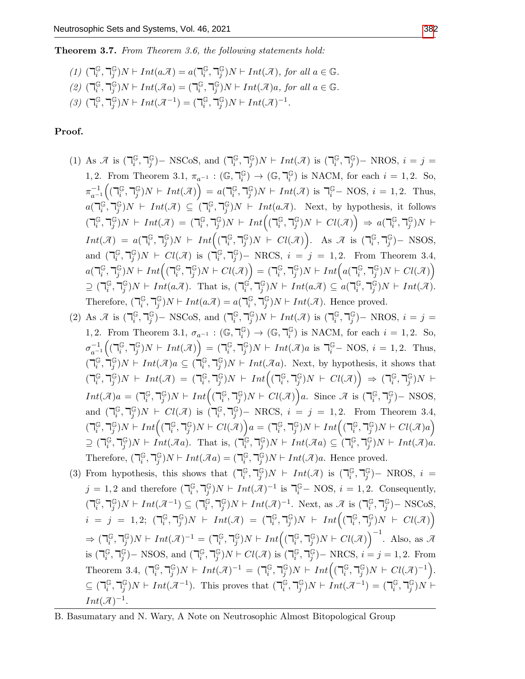Theorem 3.7. From Theorem 3.6, the following statements hold:

(1) 
$$
(\mathbb{I}_{i}^{\mathbb{G}}, \mathbb{I}_{j}^{\mathbb{G}})N \vdash Int(a\mathcal{A}) = a(\mathbb{I}_{i}^{\mathbb{G}}, \mathbb{I}_{j}^{\mathbb{G}})N \vdash Int(\mathcal{A}),
$$
 for all  $a \in \mathbb{G}$ .  
\n(2)  $(\mathbb{I}_{i}^{\mathbb{G}}, \mathbb{I}_{j}^{\mathbb{G}})N \vdash Int(\mathcal{A}a) = (\mathbb{I}_{i}^{\mathbb{G}}, \mathbb{I}_{j}^{\mathbb{G}})N \vdash Int(\mathcal{A})a$ , for all  $a \in \mathbb{G}$ .  
\n(3)  $(\mathbb{I}_{i}^{\mathbb{G}}, \mathbb{I}_{j}^{\mathbb{G}})N \vdash Int(\mathcal{A}^{-1}) = (\mathbb{I}_{i}^{\mathbb{G}}, \mathbb{I}_{j}^{\mathbb{G}})N \vdash Int(\mathcal{A})^{-1}$ .

## Proof.

- (1) As  $\mathcal{A}$  is  $\left(\bigcap_{i=1}^{m} A_i\right)$  $_i^\mathbb{G}, \mathbb{k}_j^\mathbb{G}$  $_{j}^{\mathbb{G}}$ ) – NSCoS, and ( $\mathbb{U}_{i}^{\mathbb{G}}$  $_i^\mathbb{G}, \mathbb{k}_j^\mathbb{G}$  $_j^{\mathbb{G}}$ ) $N \vdash Int(\mathcal{A})$  is  $(\mathbb{I}_i^{\mathbb{G}})$  $_i^\mathbb{G}, \mathbb{k}_j^\mathbb{G}$  $_{j}^{\mathbb{G}}$ )– NROS,  $i = j =$ 1, 2. From Theorem 3.1,  $\pi_{a^{-1}} : (\mathbb{G}, \mathbb{F}_i^{\mathbb{G}})$  $\binom{G}{i} \rightarrow (\mathbb{G}, \mathbb{k})^{\mathbb{G}}_i$  $\binom{G}{i}$  is NACM, for each  $i = 1, 2$ . So,  $\pi_{a-}^{-1}$  $\frac{-1}{a^{-1}}\Big(\big(\daleth_{i}^{\mathbb{G}}% ,\hep^{i}(\neg \mathbb{G})\Big|^{2}$  $_i^\mathbb{G}, \mathbb{k}_j^\mathbb{G}$  $j^{\mathbb{G}}$ ) $N \vdash Int(\mathcal{A})$  =  $a(\mathbb{I}_i^{\mathbb{G}})$  $_i^\mathbb{G}, \mathbb{k}_j^\mathbb{G}$  $_{j}^{\mathbb{G}}$ ) N  $\vdash Int(\mathcal{A})$  is  $\mathbb{I}_{i}^{\mathbb{G}}$  – NOS,  $i = 1, 2$ . Thus,  $a(\mathbb{a})_i^{\mathbb{G}}$  $_i^{\mathbb{G}}, \daleth_{j}^{\mathbb{G}}$  $j^{\mathbb{G}}$ ) $N$  +  $Int(\mathcal{A}) \subseteq (\mathbb{Z}_i^{\mathbb{G}})$  $_i^\mathbb{G}, \mathbb{k}_j^\mathbb{G}$  $j^{\mathbb{G}}_j$ )  $N \vdash Int(a\mathcal{A})$ . Next, by hypothesis, it follows  $\overline{(\mathcal{a}_i^{\mathbb{G}})}$  $_i^\mathbb{G}, \mathbb{k}_j^\mathbb{G}$  $j^{\mathbb{G}}$ ) $N \vdash Int(\mathcal{A}) = (\mathbb{I}_i^{\mathbb{G}})$  $_i^\mathbb{G}, \mathbb{k}_j^\mathbb{G}$  $\int\limits_j^\mathbb{G} \text{)} N \, \vdash \, Int \Big( (\mathbb{m}^{\mathbb{G}}_i)$  $_i^\mathbb{G}, \mathbb{k}_j^\mathbb{G}$  $j^{\mathbb{G}}$ ) $N \vdash \mathit{Cl}(\mathcal{A})$   $\Rightarrow a(\mathsf{T}^{\mathbb{G}}_{i})$  $_i^\mathbb{G}, \mathbb{k}_j^\mathbb{G}$  $_j^{\mathbb{G}})N \;\vdash$  $Int(\mathcal{A}) = a(\mathbb{a})$  $_i^\mathbb{G}, \mathbb{k}_j^\mathbb{G}$  $\int\limits_j^\mathbb{G} jN \ \vdash \ Int \Bigl( (\mathbb{h}^{\mathbb{G}}_i$  $_i^\mathbb{G}, \mathbb{k}_j^\mathbb{G}$  $_j^{\mathbb{G}}$ ) $N \vdash Cl(\mathcal{A})$ . As  $\mathcal{A}$  is  $(\mathbb{k}_i^{\mathbb{G}})$  $_i^\mathbb{G}, \mathbb{k}_j^\mathbb{G}$ j )− NSOS, and  $(\mathbb{I}_i^{\mathbb{G}})$  $_i^\mathbb{G}, \mathbb{k}_j^\mathbb{G}$  $_j^{\mathbb{G}}$ ) $N \;\vdash\; Cl(\mathcal{A})$  is  $(\mathsf{T}_i^{\mathbb{G}})$  $_i^\mathbb{G}, \mathbb{k}_j^\mathbb{G}$  $j^{(j)}$  – NRCS,  $i = j = 1, 2$ . From Theorem 3.4,  $a(\mathbb{F}_i^\mathbb{G})$  $_i^\mathbb{G}, \mathbb{k}_j^\mathbb{G}$  $_j^{\mathbb{G}})N \vdash Int\Bigl( (\mathsf{T}_i^{\mathbb{G}}% )^{j+1}(\mathsf{T}_i^{\mathbb{G}}% )^{j+1}(\mathsf{T}_i^{\mathbb{G}}% )^{j+1}(\mathsf{T}_i^{\mathbb{G}}% )^{j+1}(\mathsf{T}_i^{\mathbb{G}}% )^{j+1}(\mathsf{T}_i^{\mathbb{G}}% )^{j+1}(\mathsf{T}_i^{\mathbb{G}}% )^{j+1}(\mathsf{T}_i^{\mathbb{G}}% )^{j+1}(\mathsf{T}_i^{\mathbb{G}}% )^{j+1}(\mathsf{T}_i^{\mathbb{G}}% )^{j+1}(\math$  $_i^\mathbb{G}, \mathbb{k}_j^\mathbb{G}$  $\binom{\mathbb{G}}{j}N \vdash Cl(\mathcal{\overline{A}})\Big) = (\mathbb{k}_i^{\mathbb{G}})$  $_i^\mathbb{G}, \mathbb{k}_j^\mathbb{G}$  $_j^{\mathbb{G}})N \vdash Int \Bigl(a(\mathsf{T}^\mathbb{G}_i)$  $_i^\mathbb{G}, \mathbb{k}_j^\mathbb{G}$  $_j^{\mathbb{G}}$ ) $N \vdash Cl(\mathcal{A})$  $\supseteq$  (  $_i^\mathbb{G}, \mathbb{k}_j^\mathbb{G}$  $j^{\mathbb{G}}$ ) $N \vdash Int(a\mathcal{A})$ . That is,  $(\mathbb{I}_i^{\mathbb{G}})$  $\widetilde{\mathfrak{g}}, \daleth^{\mathbb{G}}_{j}$  $j^{\mathbb{G}}$ ) $N \vdash Int(a\mathcal{A}) \subseteq a(\mathbb{F}_i^{\mathbb{G}})$  $_i^\mathbb{G}, \mathbb{k}_j^\mathbb{G}$  $_{j}^{\mathbb{G}}$ ) $N \vdash Int(\mathcal{A})$ . Therefore,  $\left(\overline{\mathbf{a}}_i\right)$  $_i^\mathbb{G}, \mathbb{k}_j^\mathbb{G}$  $j^{\mathbb{G}}$ ) $N \vdash Int(a\mathcal{A}) = a(\mathbb{a})$  $_i^\mathbb{G}, \mathbb{k}_j^\mathbb{G}$  $_j^{\mathbb{G}}$ ) $N \vdash Int(\mathcal{A})$ . Hence proved.
- (2) As  $\mathcal{A}$  is  $\left(\mathbb{I}_{i}^{\mathbb{G}}\right)$  $_i^\mathbb{G}, \mathbb{k}_j^\mathbb{G}$  $_{j}^{\mathbb{G}}$ ) – NSCoS, and ( $\mathbb{U}_{i}^{\mathbb{G}}$  $_i^\mathbb{G}, \mathbb{k}_j^\mathbb{G}$  $j^{\mathbb{G}}$ ) $N \vdash Int(\mathcal{A})$  is  $(\mathbb{I}_i^{\mathbb{G}})$  $_i^\mathbb{G}, \mathbb{k}_j^\mathbb{G}$ j )− NROS, i = j = 1, 2. From Theorem 3.1,  $\sigma_{a^{-1}}: (\mathbb{G}, \mathbb{F}_i^{\mathbb{G}})$  $\binom{\mathbb{G}}{i}$   $\rightarrow$   $(\mathbb{G}, \mathbb{k})$  $\binom{G}{i}$  is NACM, for each  $i = 1, 2$ . So,  $\sigma_{a-}^{-1}$  $\frac{-1}{a^{-1}}\bigg(\big(\daleth_{i}^{\mathbb{G}}% ,\hep^{i}(\verb+{A}),\he^{\prime}_{i}(\verb+{A}),\he^{\prime}_{i}(\verb+{A}),\he^{\prime}_{i}(\verb+{A}),\he^{\prime}_{i}(\verb+{A}),\he^{\prime}_{i}(\verb+{A})\big)$  $_i^\mathbb{G}, \mathbb{k}_j^\mathbb{G}$  $\left(\begin{smallmatrix}\mathbb{G} \ j\end{smallmatrix}\right)N \,\vdash\, Int (\mathcal{A}) \Big) \,=\, (\mathbb{k}_i^{\mathbb{G}})$  $_i^\mathbb{G}, \mathbb{k}_j^\mathbb{G}$  $_{j}^{\mathbb{G}}$ )N  $\vdash Int(\mathcal{A})$ a is  $\mathbb{I}_{i}^{\mathbb{G}}$  – NOS,  $i = 1, 2$ . Thus,  $\overline{(\mathbb{I}_{i}^{\mathbb{G}})}$  $_i^{\mathbb{G}}, \mathring{\daleth}^{\mathbb{G}}_j$  $j^{\mathbb{G}}$ ) $N \vdash Int(\mathcal{A})a \subseteq (\mathbb{I}_i^{\mathbb{G}})$  $_i^\mathbb{G}, \mathbb{k}_j^\mathbb{G}$  $j^{\mathbb{G}}_j$ )  $N \vdash Int(\mathcal{A}a)$ . Next, by hypothesis, it shows that  $\overline{(\mathcal{a}_i^{\mathbb{G}})}$  $_i^\mathbb{G}, \mathbb{k}_j^\mathbb{G}$  $j^{\mathbb{G}}$ ) $N \vdash Int(\mathcal{A}) = (\mathbb{I}_i^{\mathbb{G}})$  $_i^\mathbb{G}, \mathbb{k}_j^\mathbb{G}$  $\int\limits_j^\mathbb{G} \text{)} N \ \vdash \ Int \Bigl( (\mathbb{h}^{\mathbb{G}}_i)$  $_i^\mathbb{G}, \mathbb{k}_j^\mathbb{G}$  $\left(\begin{smallmatrix}\mathbb{G} \ j\end{smallmatrix}\right)N \;\vdash\; Cl(\mathcal{A})\Big) \;\Rightarrow\; (\mathbb{k}_i^{\mathbb{G}})$  $_i^\mathbb{G}, \mathbb{k}_j^\mathbb{G}$  $_j^{\mathbb G})N \ \vdash$  $Int(\mathcal{A})a = \left(\mathbb{I}_i^{\mathbb{G}}\right)$  $_i^\mathbb{G}, \mathbb{k}_j^\mathbb{G}$  $\int\limits_j^\mathbb{G} \text{)} N \vdash Int \Bigl( (\mathbb{h}^{\mathbb{G}}_i)$  $_i^\mathbb{G}, \mathbb{k}_j^\mathbb{G}$  $_j^{\mathbb{G}}$ ) $N \vdash Cl(\mathcal{A})$  a. Since  $\mathcal{A}$  is  $(\mathbb{I}_i^{\mathbb{G}})$  $_i^\mathbb{G}, \mathbb{k}_j^\mathbb{G}$ j )− NSOS, and  $(\mathbb{I}_i^{\mathbb{G}})$  $_i^\mathbb{G}, \mathbb{k}_j^\mathbb{G}$  $j^{\mathbb{G}}$ ) $N \;\vdash\; Cl(\mathcal{A})$  is  $\bigcap_i^{\mathbb{G}}$  $_i^\mathbb{G}, \mathbb{k}_j^\mathbb{G}$  $j^{(j)}$  – NRCS,  $i = j = 1, 2$ . From Theorem 3.4,  $\overline{(\mathbb{d}^{\mathbb{G}}_i)}$  $_i^\mathbb{G}, \mathbb{k}_j^\mathbb{G}$  $_j^{\mathbb{G}})N \vdash Int\Bigl( (\mathbb{k}_i^{\mathbb{G}}% ,1) \subset \mathbb{C}^j \Bbbk^j \Bbbk^j \Bbbk^j \Bbbk^j )$  $_i^\mathbb{G}, \mathbb{k}_j^\mathbb{G}$  $j^{\mathbb{G}}$ ) $N \vdash Cl(\mathcal{A})$  $a = (\mathbb{k}_i^{\mathbb{G}})$  $_i^\mathbb{G}, \mathbb{k}_j^\mathbb{G}$  $\int\limits_j^\mathbb{G} \text{)} N \vdash Int \Bigl( (\mathbb{h}^{\mathbb{G}}_i)$  $_i^\mathbb{G}, \mathbb{k}_j^\mathbb{G}$  $_j^{\mathbb{G}}$ ) $N \vdash Cl(\mathcal{A})a$  $\supseteq$  ( $\neg_{i}^{\mathbb{G}}$  $_i^\mathbb{G}, \mathbb{k}_j^\mathbb{G}$  $j\in j$ ) $N \vdash \hat{Int}(\mathcal{A}a)$ . That is,  $(\mathbb{T}_i^{\mathbb{G}})$  $\mathbb{G}_{i}$  ,  $\daleth_{j}^{\mathbb{G}}$  $j^{\mathbb{G}}$ ) $N \vdash Int(\overline{\mathcal{A}}a) \subseteq (\mathbb{Z}_i^{\mathbb{G}})$  $_i^\mathbb{G}, \mathbb{k}_j^\mathbb{G}$  $j^{\mathbb{G}}$ ) $N \vdash Int(\mathcal{A})a$ . Therefore,  $\left(\overline{\mathbf{a}}_i\right)$  $_i^\mathbb{G}, \mathbb{k}_j^\mathbb{G}$  $j^{\mathbb{G}}$ ) $N \vdash Int(\mathcal{A}a) = (\mathbb{I}_i^{\mathbb{G}})$  $_i^\mathbb{G}, \mathbb{k}_j^\mathbb{G}$  $_j^{\mathbb{G}}$ ) $N \vdash Int(\mathcal{A})$ a. Hence proved.
- (3) From hypothesis, this shows that  $(\mathbb{R}^{\mathbb{G}}_i)$  $_i^\mathbb{G}, \mathbb{k}_j^\mathbb{G}$  $j^{\mathbb{G}}$ ) $N \vdash Int(\mathcal{A})$  is  $(\mathbb{I}_i^{\mathbb{G}})$  $_i^\mathbb{G}, \mathbb{k}_j^\mathbb{G}$ j )− NROS, i =  $j = 1, 2$  and therefore  $\left(\bigcap_{i=1}^{k} A_i\right)$  $_i^\mathbb{G}, \mathbb{k}_j^\mathbb{G}$  $j^{\mathbb{G}}$ ) $N \vdash Int(\mathcal{A})^{-1}$  is  $\mathbb{I}_i^{\mathbb{G}}$  – NOS,  $i = 1, 2$ . Consequently,  $\overline{(\mathcal{a}_i^{\mathbb{G}})}$  $_i^\mathbb{G}, \mathbb{k}_j^\mathbb{G}$  $j^{\mathbb{G}}$ ) $N \vdash Int(\mathcal{A}^{-1}) \subseteq (\mathbb{I}_i^{\mathbb{G}})$  $_i^\mathbb{G}, \mathbb{k}_j^\mathbb{G}$  $_j^{\mathbb{G}}$ ) $N \vdash Int(\mathcal{A})^{-1}$ . Next, as  $\mathcal{A}$  is  $(\mathbb{I}_i^{\mathbb{G}})$  $_i^\mathbb{G}, \mathbb{k}_j^\mathbb{G}$ j )− NSCoS,  $i = j = 1, 2; (\mathbb{d})^{\mathbb{G}}_i$  $_i^\mathbb{G}, \mathbb{k}_j^\mathbb{G}$  $j^{\mathbb{G}}$ ) $N$  +  $Int(\mathcal{A}) = (\mathbb{R}^{\mathbb{G}}_i)$  $_i^\mathbb{G}, \mathbb{k}_j^\mathbb{G}$  $\int\limits_j^\mathbb{G} \rvert N \ \vdash \ Int \Bigl( (\mathbb{m}^{\mathbb{G}}_i)$  $_i^\mathbb{G}, \mathbb{k}_j^\mathbb{G}$  $_j^{\mathbb{G}}$ ) $N \vdash Cl(\mathcal{A})$  $\Rightarrow$  ( $\neg_i^{\mathbb{G}}$  $_i^\mathbb{G}, \mathbb{k}_j^\mathbb{G}$  $j^{\mathbb{G}}$ ) $N \vdash Int(\mathcal{A})^{-1} = (\mathbb{I}_i^{\mathbb{G}})$  $_i^\mathbb{G}, \mathbb{k}_j^\mathbb{G}$  $_j^{\mathbb{G}})N \vdash Int\Bigl( (\mathbb{k}_i^{\mathbb{G}}% ,1) \subset \mathbb{C}^j \Bbbk _j^{\mathbb{G}} \Bbbk _j^{\mathbb{G}} \Bbbk _j^{\mathbb{G}} ) \Bbbk$  $_i^\mathbb{G}, \mathbb{k}_j^\mathbb{G}$  $_j^{\mathbb{G}}$ ) $N \vdash Cl(\mathcal{A})$ <sup>-1</sup>. Also, as  $\mathcal{A}$ is  $\left(\mathbb{I}_i^\mathbb{G}\right)$  $_i^\mathbb{G}, \mathbb{k}_j^\mathbb{G}$  $_{j}^{\mathbb{G}}$ ) – NSOS, and ( $\mathbb{U}_{i}^{\mathbb{G}}$  $_i^\mathbb{G}, \mathbb{k}_j^\mathbb{G}$  $_j^{\mathbb{G}}$ ) $N \vdash Cl(\overline{\mathcal{A}})$  is  $\Gamma_i^{\mathbb{G}}$  $_i^\mathbb{G}, \mathbb{k}_j^\mathbb{G}$  $_{j}^{\mathbb{G}}$ ) – NRCS,  $i = j = 1, 2$ . From Theorem 3.4,  $\left(\bigcap_i \mathbb{G}\right)$  $_i^\mathbb{G}, \mathbb{k}_j^\mathbb{G}$  $j^{\mathbb{G}}$ ) $N \vdash Int(\mathcal{A})^{-1} = (\mathbb{I}_i^{\mathbb{G}})$  $_i^\mathbb{G}, \mathbb{k}_j^\mathbb{G}$  $\int\limits_j^\mathbb{G} \text{)} N \,\vdash\, Int\Bigl( (\mathbb{h}^{\mathbb{G}}_i)$  $_i^\mathbb{G}, \mathbb{k}_j^\mathbb{G}$  $_j^{\mathbb{G}}$ ) $N \vdash Cl(\mathcal{A})^{-1}$ .  $\subseteq (\mathbb{k}_i^{\mathbb{G}})$  $_i^\mathbb{G}, \mathbb{k}_j^\mathbb{G}$  $_j^{\mathbb{G}}$ ) $N \vdash Int(\mathcal{A}^{-1})$ . This proves that  $(\mathbb{I}_i^{\mathbb{G}})$  $_i^\mathbb{G}, \mathbb{k}_j^\mathbb{G}$  $j^{\mathbb{G}})N \vdash \dot{Int}(\mathcal{A}^{-1}) = (\mathbb{k}_i^{\mathbb{G}})$  $_i^\mathbb{G}, \mathbb{k}_j^\mathbb{G}$  $_j^{\mathbb G})N \vdash j$  $Int(\mathcal{A})^{-1}.$

B. Basumatary and N. Wary, A Note on Neutrosophic Almost Bitopological Group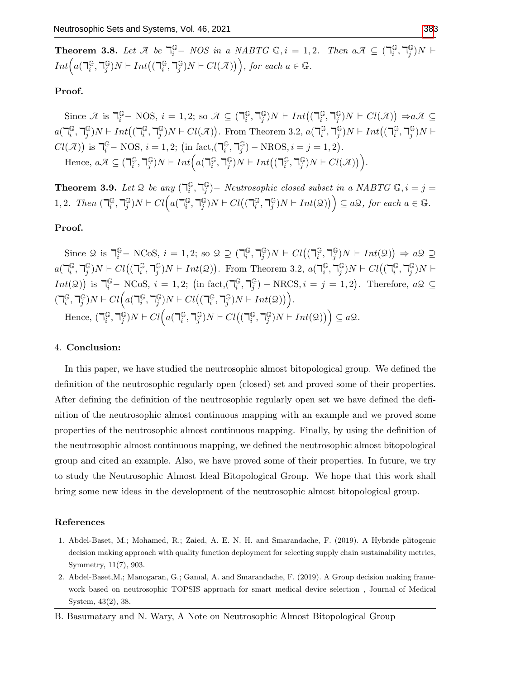**Theorem 3.8.** Let  $\mathcal{A}$  be  $\overline{\mathcal{A}}_i^{\mathbb{G}}$  – NOS in a NABTG  $\mathbb{G}, i = 1, 2$ . Then  $a\mathcal{A} \subseteq (\overline{\mathcal{A}}_i^{\mathbb{G}})$  $_i^\mathbb{G}, \mathbb{k}_j^\mathbb{G}$  $_j^{\mathbb G})N \ \vdash$  $Int\left(a(\mathbb{a}\right)_{i}^{\mathbb{G}}$  $_i^\mathbb{G}, \mathbb{k}_j^\mathbb{G}$  $j^{\mathbb{G}}$ ) $N \vdash Int((\mathbb{T}^{\mathbb{G}}_{i}$  $_i^\mathbb{G}, \mathbb{k}_j^\mathbb{G}$  $j^{\mathbb{G}}(N \cap Cl(\mathcal{A}))$ , for each  $a \in \mathbb{G}$ .

## Proof.

Since  $\mathcal{A}$  is  $\mathbb{T}_{i}^{\mathbb{G}}$  – NOS,  $i = 1, 2$ ; so  $\mathcal{A} \subseteq (\mathbb{T}_{i}^{\mathbb{G}})$  $_i^\mathbb{G}, \mathbb{k}_j^\mathbb{G}$  $j^{\mathbb{G}}$ ) $N \vdash Int((\mathbb{T}_i^{\mathbb{G}}$  $_i^\mathbb{G}, \mathbb{k}_j^\mathbb{G}$  $j^{\mathbb{G}}$ )N  $\vdash$   $Cl(\mathcal{A})$ )  $\Rightarrow$ a $\mathcal{A} \subseteq$  $a(\mathbb{F}_i^\mathbb{G})$  $_i^\mathbb{G}, \mathbb{k}_j^\mathbb{G}$  $j^{\mathbb{G}}$ ) $N \vdash Int((\mathbb{T}^{\mathbb{G}}_{i}$  $_i^\mathbb{G}, \mathbb{k}_j^\mathbb{G}$  $_j^{\mathbb{G}}$ ) N  $\vdash$  Cl( $\mathcal{A}$ )). From Theorem 3.2,  $a(\mathbb{I}_i^{\mathbb{G}})$  $_i^\mathbb{G}, \mathbb{k}_j^\mathbb{G}$  $j^{\mathbb{G}}$ ) $N \vdash Int((\mathbb{T}^{\mathbb{G}}_{i}$  $_i^\mathbb{G}, \mathbb{k}_j^\mathbb{G}$  $_{j}^{\mathbb{G}})N\vdash$  $Cl(\mathcal{A})$ ) is  $\mathbb{I}_{i}^{\mathbb{G}}$  – NOS,  $i = 1, 2$ ; (in fact,( $\mathbb{I}_{i}^{\mathbb{G}}$  $_i^\mathbb{G}, \mathbb{k}_j^\mathbb{G}$  $_j^{\mathbb{G}}$ ) – NROS,  $i = j = 1, 2$ ). Hence,  $a\mathcal{A} \subseteq \left(\mathbb{I}_i^{\mathbb{G}}\right)$  $_i^\mathbb{G}, \mathbb{k}_j^\mathbb{G}$  $_j^{\mathbb{G}}$ ) $N \vdash Int \Big( a(\mathsf{T}_i^{\mathbb{G}})$  $_i^\mathbb{G}, \mathbb{k}_j^\mathbb{G}$  $j^{\mathbb{G}}$ ) $N \vdash Int((\mathbb{T}^{\mathbb{G}}_{i}$  $_i^\mathbb{G}, \mathbb{k}_j^\mathbb{G}$  $_j^{\mathbb{G}}$ ) $N \vdash Cl(\mathcal{A})$ ).

**Theorem 3.9.** Let 2 be any  $\left(\bigcap_{i=1}^{k} A_i\right)$  $_i^\mathbb{G}, \mathbb{k}_j^\mathbb{G}$  $_{j}^{\mathbb{G}}$ ) – Neutrosophic closed subset in a NABTG  $\mathbb{G}, i = j = j$ 1, 2. Then  $\left(\mathbb{I}_i\right)$  $_i^\mathbb{G}, \mathbb{k}_j^\mathbb{G}$  $_j^{\mathbb{G}})N \vdash Cl\Big(a(\mathbb{k}_i^{\mathbb{G}})$  $_i^\mathbb{G}, \mathbb{k}_j^\mathbb{G}$  $_j^{\mathbb{G}}$ ) $N \vdash Cl((\mathbb{k}_i^{\mathbb{G}})$  $_i^\mathbb{G}, \mathbb{k}_j^\mathbb{G}$  $\binom{\mathbb{G}}{j}N \vdash Int(\mathcal{Q})\big)\Big) \subseteq a\mathcal{Q}, \text{ for each } a \in \mathbb{G}.$ 

## Proof.

Since  $\mathcal{Q}$  is  $\mathbb{I}_{i}^{\mathbb{G}}$  – NCoS,  $i = 1, 2$ ; so  $\mathcal{Q} \supseteq (\mathbb{I}_{i}^{\mathbb{G}})$  $_i^\mathbb{G}, \mathbb{k}_j^\mathbb{G}$  $_j^{\mathbb{G}}$ ) $N \vdash \text{Cl}((\mathbb{q}_i^{\mathbb{G}}))$  $_i^\mathbb{G}, \mathbb{k}_j^\mathbb{G}$  $j^{\mathbb{G}}$ ) $N \vdash Int(\mathcal{Q})$   $\Rightarrow a\mathcal{Q} \supseteq$  $a(\mathbb{F}_i^\mathbb{G})$  $_i^\mathbb{G}, \mathbb{k}_j^\mathbb{G}$  $_j^{\mathbb{G}}$ ) $N \vdash Cl((\mathbb{k}_i^{\mathbb{G}})$  $_i^\mathbb{G}, \mathbb{k}_j^\mathbb{G}$  $_j^{\mathbb{G}}$ )  $N \vdash Int(\mathcal{Q})$ . From Theorem 3.2,  $a(\mathbb{Z}_i^{\mathbb{G}})$  $_i^\mathbb{G}, \mathbb{k}_j^\mathbb{G}$  $_j^{\mathbb{G}}$ ) $N \vdash Cl((\mathbb{k}_i^{\mathbb{G}})$  $_i^\mathbb{G}, \mathbb{k}_j^\mathbb{G}$  $_j^{\mathbb G})N \vdash$  $Int(\mathcal{Q})$  is  $\mathcal{T}_{i}^{\mathbb{G}}$  – NCoS,  $i = 1, 2$ ; (in fact,  $(\mathcal{T}_{i}^{\mathbb{G}})$  $_i^\mathbb{G}, \mathbb{k}_j^\mathbb{G}$  $j^{\mathbb{G}}$ ) – NRCS,  $i = j = 1, 2$ ). Therefore,  $a\mathcal{Q} \subseteq$  $\overline{(\mathbb{R}^{\mathbb{G}}_i)}$  $_i^\mathbb{G}, \mathbb{k}_j^\mathbb{G}$  $_j^{\mathbb{G}})N \vdash Cl\Big(a(\mathbb{k}_i^{\mathbb{G}})$  $_i^\mathbb{G}, \mathbb{k}_j^\mathbb{G}$  $_j^{\mathbb{G}}$ ) $N \vdash Cl\big((\mathbb{g}_i^{\mathbb{G}})$  $_i^\mathbb{G}, \mathbb{k}_j^\mathbb{G}$  $_j^{\mathbb{G}}$ ) $N \vdash Int(2)$ ). Hence,  $\left(\mathbb{I}_i^{\mathbb{G}}\right)$  $_i^\mathbb{G}, \mathbb{k}_j^\mathbb{G}$  $_j^{\mathbb{G}})N \vdash Cl\Big(a(\mathbb{k}_i^{\mathbb{G}})$  $_i^\mathbb{G}, \mathbb{k}_j^\mathbb{G}$  $_j^{\mathbb{G}}$ ) $N \vdash Cl((\mathbb{k}_i^{\mathbb{G}})$  $_i^\mathbb{G}, \mathbb{k}_j^\mathbb{G}$  $_j^{\mathbb{G}}$ ) $N \vdash Int(\mathfrak{Q})$ )  $\subseteq a\mathfrak{Q}$ .

#### 4. Conclusion:

In this paper, we have studied the neutrosophic almost bitopological group. We defined the definition of the neutrosophic regularly open (closed) set and proved some of their properties. After defining the definition of the neutrosophic regularly open set we have defined the definition of the neutrosophic almost continuous mapping with an example and we proved some properties of the neutrosophic almost continuous mapping. Finally, by using the definition of the neutrosophic almost continuous mapping, we defined the neutrosophic almost bitopological group and cited an example. Also, we have proved some of their properties. In future, we try to study the Neutrosophic Almost Ideal Bitopological Group. We hope that this work shall bring some new ideas in the development of the neutrosophic almost bitopological group.

#### References

- 1. Abdel-Baset, M.; Mohamed, R.; Zaied, A. E. N. H. and Smarandache, F. (2019). A Hybride plitogenic decision making approach with quality function deployment for selecting supply chain sustainability metrics, Symmetry, 11(7), 903.
- 2. Abdel-Baset,M.; Manogaran, G.; Gamal, A. and Smarandache, F. (2019). A Group decision making framework based on neutrosophic TOPSIS approach for smart medical device selection , Journal of Medical System, 43(2), 38.

B. Basumatary and N. Wary, A Note on Neutrosophic Almost Bitopological Group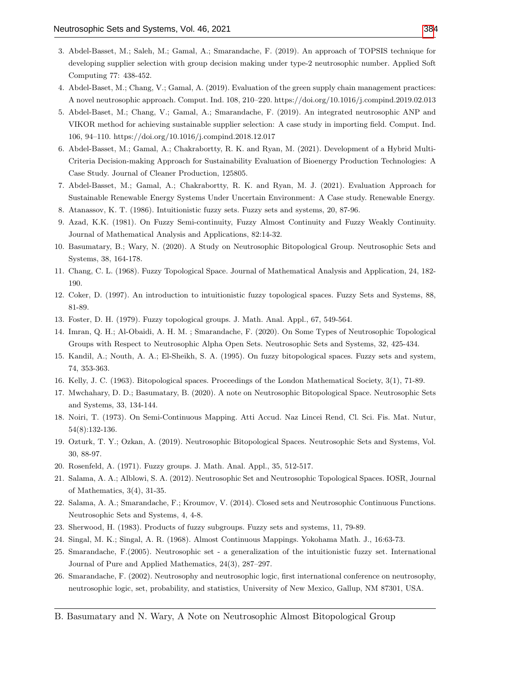- 3. Abdel-Basset, M.; Saleh, M.; Gamal, A.; Smarandache, F. (2019). An approach of TOPSIS technique for developing supplier selection with group decision making under type-2 neutrosophic number. Applied Soft Computing 77: 438-452.
- 4. Abdel-Baset, M.; Chang, V.; Gamal, A. (2019). Evaluation of the green supply chain management practices: A novel neutrosophic approach. Comput. Ind. 108, 210–220. https://doi.org/10.1016/j.compind.2019.02.013
- 5. Abdel-Baset, M.; Chang, V.; Gamal, A.; Smarandache, F. (2019). An integrated neutrosophic ANP and VIKOR method for achieving sustainable supplier selection: A case study in importing field. Comput. Ind. 106, 94–110. https://doi.org/10.1016/j.compind.2018.12.017
- 6. Abdel-Basset, M.; Gamal, A.; Chakrabortty, R. K. and Ryan, M. (2021). Development of a Hybrid Multi-Criteria Decision-making Approach for Sustainability Evaluation of Bioenergy Production Technologies: A Case Study. Journal of Cleaner Production, 125805.
- 7. Abdel-Basset, M.; Gamal, A.; Chakrabortty, R. K. and Ryan, M. J. (2021). Evaluation Approach for Sustainable Renewable Energy Systems Under Uncertain Environment: A Case study. Renewable Energy.
- 8. Atanassov, K. T. (1986). Intuitionistic fuzzy sets. Fuzzy sets and systems, 20, 87-96.
- 9. Azad, K.K. (1981). On Fuzzy Semi-continuity, Fuzzy Almost Continuity and Fuzzy Weakly Continuity. Journal of Mathematical Analysis and Applications, 82:14-32.
- 10. Basumatary, B.; Wary, N. (2020). A Study on Neutrosophic Bitopological Group. Neutrosophic Sets and Systems, 38, 164-178.
- 11. Chang, C. L. (1968). Fuzzy Topological Space. Journal of Mathematical Analysis and Application, 24, 182- 190.
- 12. Coker, D. (1997). An introduction to intuitionistic fuzzy topological spaces. Fuzzy Sets and Systems, 88, 81-89.
- 13. Foster, D. H. (1979). Fuzzy topological groups. J. Math. Anal. Appl., 67, 549-564.
- 14. Imran, Q. H.; Al-Obaidi, A. H. M. ; Smarandache, F. (2020). On Some Types of Neutrosophic Topological Groups with Respect to Neutrosophic Alpha Open Sets. Neutrosophic Sets and Systems, 32, 425-434.
- 15. Kandil, A.; Nouth, A. A.; El-Sheikh, S. A. (1995). On fuzzy bitopological spaces. Fuzzy sets and system, 74, 353-363.
- 16. Kelly, J. C. (1963). Bitopological spaces. Proceedings of the London Mathematical Society, 3(1), 71-89.
- 17. Mwchahary, D. D.; Basumatary, B. (2020). A note on Neutrosophic Bitopological Space. Neutrosophic Sets and Systems, 33, 134-144.
- 18. Noiri, T. (1973). On Semi-Continuous Mapping. Atti Accud. Naz Lincei Rend, Cl. Sci. Fis. Mat. Nutur, 54(8):132-136.
- 19. Ozturk, T. Y.; Ozkan, A. (2019). Neutrosophic Bitopological Spaces. Neutrosophic Sets and Systems, Vol. 30, 88-97.
- 20. Rosenfeld, A. (1971). Fuzzy groups. J. Math. Anal. Appl., 35, 512-517.
- 21. Salama, A. A.; Alblowi, S. A. (2012). Neutrosophic Set and Neutrosophic Topological Spaces. IOSR, Journal of Mathematics, 3(4), 31-35.
- 22. Salama, A. A.; Smarandache, F.; Kroumov, V. (2014). Closed sets and Neutrosophic Continuous Functions. Neutrosophic Sets and Systems, 4, 4-8.
- 23. Sherwood, H. (1983). Products of fuzzy subgroups. Fuzzy sets and systems, 11, 79-89.
- 24. Singal, M. K.; Singal, A. R. (1968). Almost Continuous Mappings. Yokohama Math. J., 16:63-73.
- 25. Smarandache, F.(2005). Neutrosophic set a generalization of the intuitionistic fuzzy set. International Journal of Pure and Applied Mathematics, 24(3), 287–297.
- 26. Smarandache, F. (2002). Neutrosophy and neutrosophic logic, first international conference on neutrosophy, neutrosophic logic, set, probability, and statistics, University of New Mexico, Gallup, NM 87301, USA.
- B. Basumatary and N. Wary, A Note on Neutrosophic Almost Bitopological Group